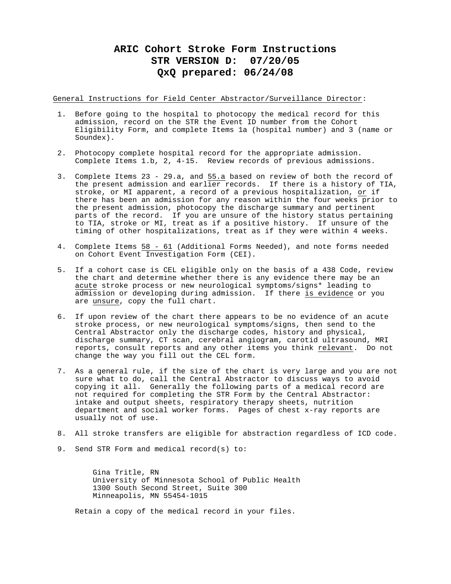# **ARIC Cohort Stroke Form Instructions STR VERSION D: 07/20/05 QxQ prepared: 06/24/08**

General Instructions for Field Center Abstractor/Surveillance Director:

- 1. Before going to the hospital to photocopy the medical record for this admission, record on the STR the Event ID number from the Cohort Eligibility Form, and complete Items 1a (hospital number) and 3 (name or Soundex).
- 2. Photocopy complete hospital record for the appropriate admission. Complete Items 1.b, 2, 4-15. Review records of previous admissions.
- 3. Complete Items 23 29.a, and 55.a based on review of both the record of the present admission and earlier records. If there is a history of TIA, stroke, or MI apparent, a record of a previous hospitalization, or if there has been an admission for any reason within the four weeks  $\overline{prior}$  to the present admission, photocopy the discharge summary and pertinent parts of the record. If you are unsure of the history status pertaining to TIA, stroke or MI, treat as if a positive history. If unsure of the timing of other hospitalizations, treat as if they were within 4 weeks.
- 4. Complete Items 58 61 (Additional Forms Needed), and note forms needed on Cohort Event Investigation Form (CEI).
- 5. If a cohort case is CEL eligible only on the basis of a 438 Code, review the chart and determine whether there is any evidence there may be an acute stroke process or new neurological symptoms/signs\* leading to admission or developing during admission. If there is evidence or you are unsure, copy the full chart.
- 6. If upon review of the chart there appears to be no evidence of an acute stroke process, or new neurological symptoms/signs, then send to the Central Abstractor only the discharge codes, history and physical, discharge summary, CT scan, cerebral angiogram, carotid ultrasound, MRI reports, consult reports and any other items you think relevant. Do not change the way you fill out the CEL form.
- 7. As a general rule, if the size of the chart is very large and you are not sure what to do, call the Central Abstractor to discuss ways to avoid copying it all. Generally the following parts of a medical record are not required for completing the STR Form by the Central Abstractor: intake and output sheets, respiratory therapy sheets, nutrition department and social worker forms. Pages of chest x-ray reports are usually not of use.
- 8. All stroke transfers are eligible for abstraction regardless of ICD code.
- 9. Send STR Form and medical record(s) to:

Gina Tritle, RN University of Minnesota School of Public Health 1300 South Second Street, Suite 300 Minneapolis, MN 55454-1015

Retain a copy of the medical record in your files.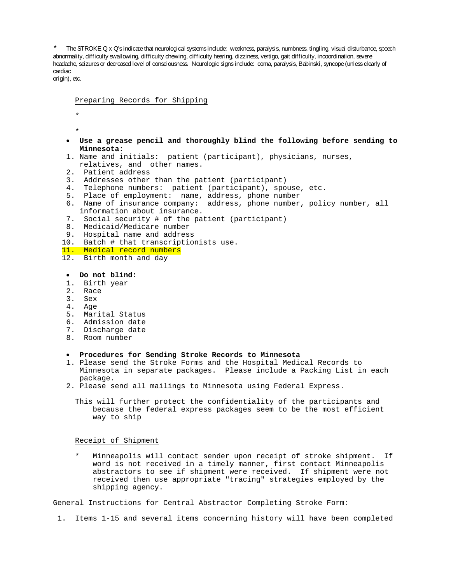The STROKE Q x Q's indicate that neurological systems include: weakness, paralysis, numbness, tingling, visual disturbance, speech abnormality, difficulty swallowing, difficulty chewing, difficulty hearing, dizziness, vertigo, gait difficulty, incoordination, severe headache, seizures or decreased level of consciousness. Neurologic signs include: coma, paralysis, Babinski, syncope (unless clearly of cardiac

origin), etc.

Preparing Records for Shipping

- \* \*
- **Use a grease pencil and thoroughly blind the following before sending to Minnesota:**
- 1. Name and initials: patient (participant), physicians, nurses,
- relatives, and other names.
- 2. Patient address
- 3. Addresses other than the patient (participant)
- 4. Telephone numbers: patient (participant), spouse, etc.
- 5. Place of employment: name, address, phone number
- 6. Name of insurance company: address, phone number, policy number, all information about insurance.
- 7. Social security # of the patient (participant)
- 8. Medicaid/Medicare number
- 9. Hospital name and address
- 10. Batch # that transcriptionists use.
- 11. Medical record numbers
- 12. Birth month and day

# • **Do not blind:**

- 1. Birth year
- 2. Race
- 3. Sex
- 4. Age
- 5. Marital Status
- 6. Admission date
- 7. Discharge date
- 8. Room number

## • **Procedures for Sending Stroke Records to Minnesota**

- 1. Please send the Stroke Forms and the Hospital Medical Records to Minnesota in separate packages. Please include a Packing List in each package.
- 2. Please send all mailings to Minnesota using Federal Express.

This will further protect the confidentiality of the participants and because the federal express packages seem to be the most efficient way to ship

#### Receipt of Shipment

Minneapolis will contact sender upon receipt of stroke shipment. If word is not received in a timely manner, first contact Minneapolis abstractors to see if shipment were received. If shipment were not received then use appropriate "tracing" strategies employed by the shipping agency.

## General Instructions for Central Abstractor Completing Stroke Form:

1. Items 1-15 and several items concerning history will have been completed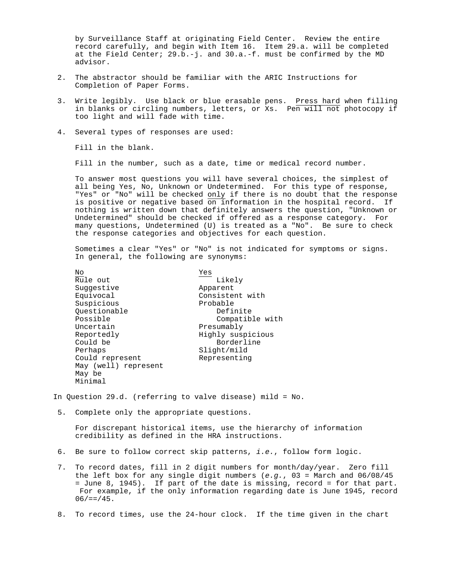by Surveillance Staff at originating Field Center. Review the entire record carefully, and begin with Item 16. Item 29.a. will be completed at the Field Center; 29.b.-j. and 30.a.-f. must be confirmed by the MD advisor.

- 2. The abstractor should be familiar with the ARIC Instructions for Completion of Paper Forms.
- 3. Write legibly. Use black or blue erasable pens. Press hard when filling in blanks or circling numbers, letters, or Xs. Pen will not photocopy if too light and will fade with time.
- 4. Several types of responses are used:

Fill in the blank.

Fill in the number, such as a date, time or medical record number.

To answer most questions you will have several choices, the simplest of all being Yes, No, Unknown or Undetermined. For this type of response, "Yes" or "No" will be checked only if there is no doubt that the response is positive or negative based on information in the hospital record. If nothing is written down that definitely answers the question, "Unknown or Undetermined" should be checked if offered as a response category. For many questions, Undetermined (U) is treated as a "No". Be sure to check the response categories and objectives for each question.

Sometimes a clear "Yes" or "No" is not indicated for symptoms or signs. In general, the following are synonyms:

| No                   | Yes               |
|----------------------|-------------------|
| Rule out             | Likely            |
| Suggestive           | Apparent          |
| Equivocal            | Consistent with   |
| Suspicious           | Probable          |
| Ouestionable         | Definite          |
| Possible             | Compatible with   |
| Uncertain            | Presumably        |
| Reportedly           | Highly suspicious |
| Could be             | Borderline        |
| Perhaps              | Slight/mild       |
| Could represent      | Representing      |
| May (well) represent |                   |
| May be               |                   |
| Minimal              |                   |
|                      |                   |

In Question 29.d. (referring to valve disease) mild = No.

5. Complete only the appropriate questions.

For discrepant historical items, use the hierarchy of information credibility as defined in the HRA instructions.

- 6. Be sure to follow correct skip patterns, *i.e.*, follow form logic.
- 7. To record dates, fill in 2 digit numbers for month/day/year. Zero fill the left box for any single digit numbers (*e.g.*, 03 = March and 06/08/45 = June 8, 1945). If part of the date is missing, record = for that part. For example, if the only information regarding date is June 1945, record  $06/==/45$ .
- 8. To record times, use the 24-hour clock. If the time given in the chart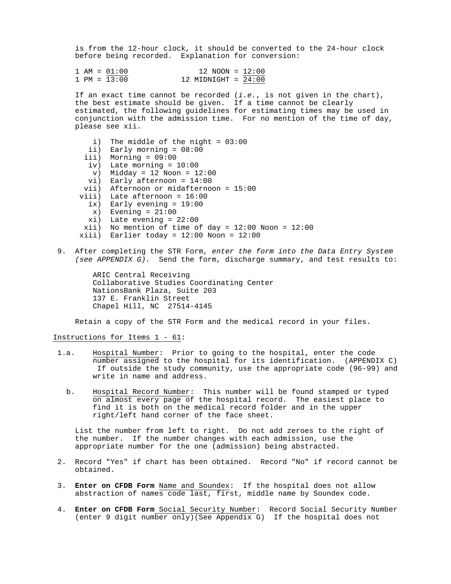is from the 12-hour clock, it should be converted to the 24-hour clock before being recorded. Explanation for conversion:

|  | $1 AM = 01:00$ | $12 \text{ NOM} = 12:00$ |  |
|--|----------------|--------------------------|--|
|  | $1 PM = 13:00$ | 12 MIDNIGHT = $24:00$    |  |

If an exact time cannot be recorded (*i.e.*, is not given in the chart), the best estimate should be given. If a time cannot be clearly estimated, the following guidelines for estimating times may be used in conjunction with the admission time. For no mention of the time of day, please see xii.

- i) The middle of the night =  $03:00$  ii) Early morning = 08:00 iii) Morning = 09:00 iv) Late morning =  $10:00$  $v)$  Midday = 12 Noon = 12:00 vi) Early afternoon = 14:00 vii) Afternoon or midafternoon = 15:00 viii) Late afternoon = 16:00 ix) Early evening =  $19:00$  $x)$  Evening =  $21:00$  $xi)$  Late evening =  $22:00$  $xii)$  No mention of time of day = 12:00 Noon = 12:00  $xiii)$  Earlier today = 12:00 Noon = 12:00
- 9. After completing the STR Form, *enter the form into the Data Entry System (see APPENDIX G).* Send the form, discharge summary, and test results to:

```
ARIC Central Receiving
Collaborative Studies Coordinating Center
NationsBank Plaza, Suite 203
137 E. Franklin Street
Chapel Hill, NC 27514-4145
```
Retain a copy of the STR Form and the medical record in your files.

Instructions for Items 1 - 61:

- 1.a. Hospital Number: Prior to going to the hospital, enter the code number assigned to the hospital for its identification. (APPENDIX C) If outside the study community, use the appropriate code (96-99) and write in name and address.
	- b. Hospital Record Number: This number will be found stamped or typed on almost every page of the hospital record. The easiest place to find it is both on the medical record folder and in the upper right/left hand corner of the face sheet.

List the number from left to right. Do not add zeroes to the right of the number. If the number changes with each admission, use the appropriate number for the one (admission) being abstracted.

- 2. Record "Yes" if chart has been obtained. Record "No" if record cannot be obtained.
- 3. **Enter on CFDB Form** Name and Soundex: If the hospital does not allow abstraction of names code last, first, middle name by Soundex code.
- 4. **Enter on CFDB Form** Social Security Number: Record Social Security Number (enter 9 digit number only)(See Appendix G) If the hospital does not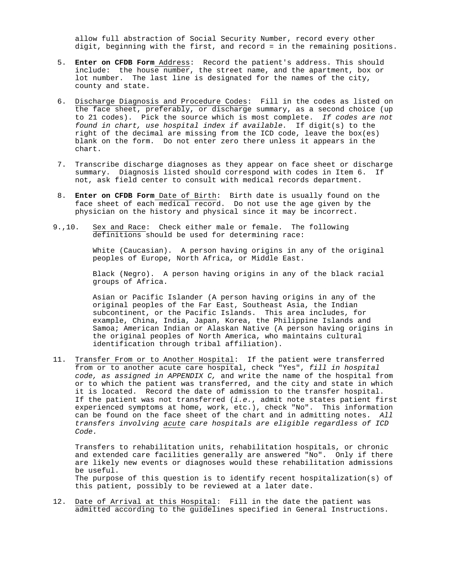allow full abstraction of Social Security Number, record every other digit, beginning with the first, and record = in the remaining positions.

- 5. **Enter on CFDB Form** Address: Record the patient's address. This should include: the house number, the street name, and the apartment, box or lot number. The last line is designated for the names of the city, county and state.
- 6. Discharge Diagnosis and Procedure Codes: Fill in the codes as listed on the face sheet, preferably, or discharge summary, as a second choice (up to 21 codes). Pick the source which is most complete. *If codes are not found in chart, use hospital index if available.* If digit(s) to the right of the decimal are missing from the ICD code, leave the box(es) blank on the form. Do not enter zero there unless it appears in the chart.
- 7. Transcribe discharge diagnoses as they appear on face sheet or discharge summary. Diagnosis listed should correspond with codes in Item 6. If not, ask field center to consult with medical records department.
- 8. **Enter on CFDB Form** Date of Birth: Birth date is usually found on the face sheet of each medical record. Do not use the age given by the physician on the history and physical since it may be incorrect.
- 9.,10. Sex and Race: Check either male or female. The following definitions should be used for determining race:

White (Caucasian). A person having origins in any of the original peoples of Europe, North Africa, or Middle East.

Black (Negro). A person having origins in any of the black racial groups of Africa.

Asian or Pacific Islander (A person having origins in any of the original peoples of the Far East, Southeast Asia, the Indian subcontinent, or the Pacific Islands. This area includes, for example, China, India, Japan, Korea, the Philippine Islands and Samoa; American Indian or Alaskan Native (A person having origins in the original peoples of North America, who maintains cultural identification through tribal affiliation).

11. Transfer From or to Another Hospital: If the patient were transferred from or to another acute care hospital, check "Yes", *fill in hospital code, as assigned in APPENDIX C,* and write the name of the hospital from or to which the patient was transferred, and the city and state in which it is located. Record the date of admission to the transfer hospital. If the patient was not transferred (*i.e.*, admit note states patient first experienced symptoms at home, work, etc.), check "No". This information can be found on the face sheet of the chart and in admitting notes. *All transfers involving acute care hospitals are eligible regardless of ICD Code.*

Transfers to rehabilitation units, rehabilitation hospitals, or chronic and extended care facilities generally are answered "No". Only if there are likely new events or diagnoses would these rehabilitation admissions be useful. The purpose of this question is to identify recent hospitalization(s) of this patient, possibly to be reviewed at a later date.

12. Date of Arrival at this Hospital: Fill in the date the patient was admitted according to the guidelines specified in General Instructions.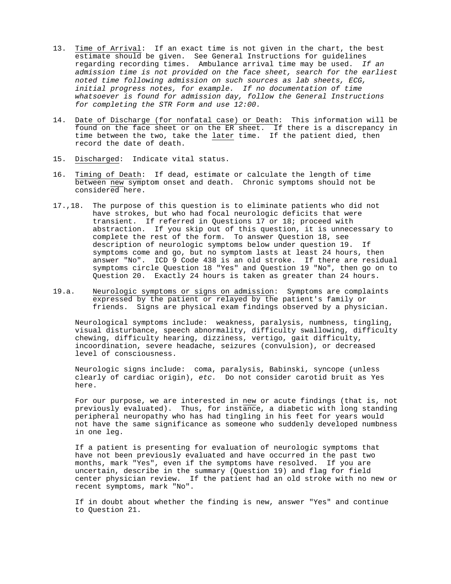- 13. Time of Arrival: If an exact time is not given in the chart, the best estimate should be given. See General Instructions for guidelines regarding recording times. Ambulance arrival time may be used. *If an admission time is not provided on the face sheet, search for the earliest noted time following admission on such sources as lab sheets, ECG, initial progress notes, for example. If no documentation of time whatsoever is found for admission day, follow the General Instructions for completing the STR Form and use 12:00.*
- 14. Date of Discharge (for nonfatal case) or Death: This information will be found on the face sheet or on the ER sheet. If there is a discrepancy in time between the two, take the <u>later</u> time. If the patient died, then  $\overline{\phantom{a}}$ record the date of death.
- 15. Discharged: Indicate vital status.
- 16. Timing of Death: If dead, estimate or calculate the length of time between new symptom onset and death. Chronic symptoms should not be considered here.
- 17.,18. The purpose of this question is to eliminate patients who did not have strokes, but who had focal neurologic deficits that were transient. If referred in Questions 17 or 18; proceed with abstraction. If you skip out of this question, it is unnecessary to complete the rest of the form. To answer Question 18, see description of neurologic symptoms below under question 19. If symptoms come and go, but no symptom lasts at least 24 hours, then answer "No". ICD 9 Code 438 is an old stroke. If there are residual symptoms circle Question 18 "Yes" and Question 19 "No", then go on to Question 20. Exactly 24 hours is taken as greater than 24 hours.
- 19.a. Neurologic symptoms or signs on admission: Symptoms are complaints expressed by the patient or relayed by the patient's family or friends. Signs are physical exam findings observed by a physician.

Neurological symptoms include: weakness, paralysis, numbness, tingling, visual disturbance, speech abnormality, difficulty swallowing, difficulty chewing, difficulty hearing, dizziness, vertigo, gait difficulty, incoordination, severe headache, seizures (convulsion), or decreased level of consciousness.

Neurologic signs include: coma, paralysis, Babinski, syncope (unless clearly of cardiac origin), *etc.* Do not consider carotid bruit as Yes here.

For our purpose, we are interested in new or acute findings (that is, not previously evaluated). Thus, for instance, a diabetic with long standing peripheral neuropathy who has had tingling in his feet for years would not have the same significance as someone who suddenly developed numbness in one leg.

If a patient is presenting for evaluation of neurologic symptoms that have not been previously evaluated and have occurred in the past two months, mark "Yes", even if the symptoms have resolved. If you are uncertain, describe in the summary (Question 19) and flag for field center physician review. If the patient had an old stroke with no new or recent symptoms, mark "No".

If in doubt about whether the finding is new, answer "Yes" and continue to Question 21.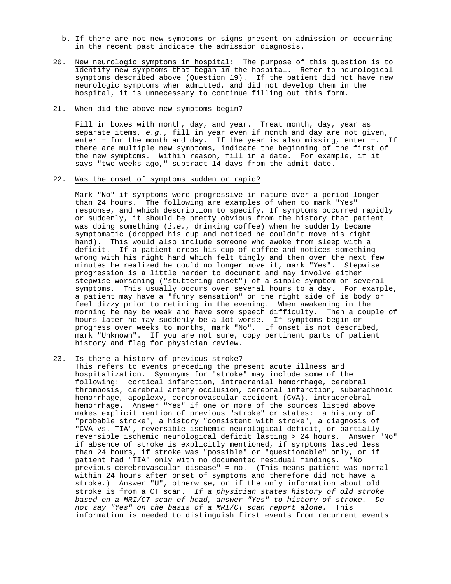- b. If there are not new symptoms or signs present on admission or occurring in the recent past indicate the admission diagnosis.
- 20. New neurologic symptoms in hospital: The purpose of this question is to identify new symptoms that began in the hospital. Refer to neurological symptoms described above (Question 19). If the patient did not have new neurologic symptoms when admitted, and did not develop them in the hospital, it is unnecessary to continue filling out this form.

# 21. When did the above new symptoms begin?

Fill in boxes with month, day, and year. Treat month, day, year as separate items, *e.g.*, fill in year even if month and day are not given, enter = for the month and day. If the year is also missing, enter =. If there are multiple new symptoms, indicate the beginning of the first of the new symptoms. Within reason, fill in a date. For example, if it says "two weeks ago," subtract 14 days from the admit date.

## 22. Was the onset of symptoms sudden or rapid?

Mark "No" if symptoms were progressive in nature over a period longer than 24 hours. The following are examples of when to mark "Yes" response, and which description to specify. If symptoms occurred rapidly or suddenly, it should be pretty obvious from the history that patient was doing something (*i.e.*, drinking coffee) when he suddenly became symptomatic (dropped his cup and noticed he couldn't move his right hand). This would also include someone who awoke from sleep with a deficit. If a patient drops his cup of coffee and notices something wrong with his right hand which felt tingly and then over the next few minutes he realized he could no longer move it, mark "Yes". Stepwise progression is a little harder to document and may involve either stepwise worsening ("stuttering onset") of a simple symptom or several symptoms. This usually occurs over several hours to a day. For example, a patient may have a "funny sensation" on the right side of is body or feel dizzy prior to retiring in the evening. When awakening in the morning he may be weak and have some speech difficulty. Then a couple of hours later he may suddenly be a lot worse. If symptoms begin or progress over weeks to months, mark "No". If onset is not described, mark "Unknown". If you are not sure, copy pertinent parts of patient history and flag for physician review.

# 23. Is there a history of previous stroke?

This refers to events preceding the present acute illness and hospitalization. Synonyms for "stroke" may include some of the following: cortical infarction, intracranial hemorrhage, cerebral thrombosis, cerebral artery occlusion, cerebral infarction, subarachnoid hemorrhage, apoplexy, cerebrovascular accident (CVA), intracerebral hemorrhage. Answer "Yes" if one or more of the sources listed above makes explicit mention of previous "stroke" or states: a history of "probable stroke", a history "consistent with stroke", a diagnosis of "CVA vs. TIA", reversible ischemic neurological deficit, or partially reversible ischemic neurological deficit lasting > 24 hours. Answer "No" if absence of stroke is explicitly mentioned, if symptoms lasted less than 24 hours, if stroke was "possible" or "questionable" only, or if patient had "TIA" only with no documented residual findings. "No previous cerebrovascular disease" = no. (This means patient was normal within 24 hours after onset of symptoms and therefore did not have a stroke.) Answer "U", otherwise, or if the only information about old stroke is from a CT scan. *If a physician states history of old stroke based on a MRI/CT scan of head, answer "Yes" to history of stroke. Do not say "Yes" on the basis of a MRI/CT scan report alone.* This information is needed to distinguish first events from recurrent events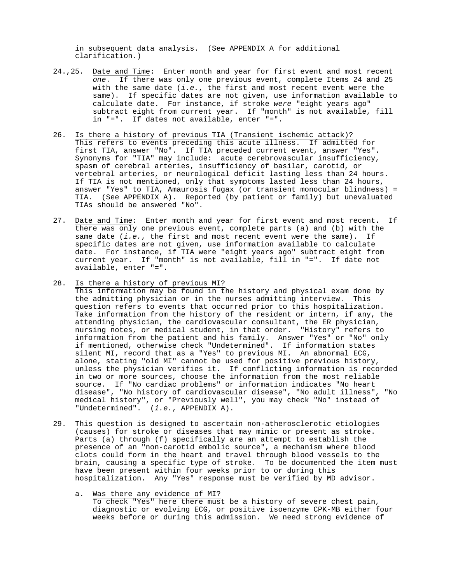in subsequent data analysis. (See APPENDIX A for additional clarification.)

- 24.,25. Date and Time: Enter month and year for first event and most recent *one*. If there was only one previous event, complete Items 24 and 25 with the same date (*i.e.*, the first and most recent event were the same). If specific dates are not given, use information available to calculate date. For instance, if stroke *were* "eight years ago" subtract eight from current year. If "month" is not available, fill in "=". If dates not available, enter "=".
- 26. Is there a history of previous TIA (Transient ischemic attack)? This refers to events preceding this acute illness. If admitted for first TIA, answer "No". If TIA preceded current event, answer "Yes". Synonyms for "TIA" may include: acute cerebrovascular insufficiency, spasm of cerebral arteries, insufficiency of basilar, carotid, or vertebral arteries, or neurological deficit lasting less than 24 hours. If TIA is not mentioned, only that symptoms lasted less than 24 hours, answer "Yes" to TIA, Amaurosis fugax (or transient monocular blindness) = TIA. (See APPENDIX A). Reported (by patient or family) but unevaluated TIAs should be answered "No".
- 27. Date and Time: Enter month and year for first event and most recent. If there was only one previous event, complete parts (a) and (b) with the same date (*i.e.*, the first and most recent event were the same). If specific dates are not given, use information available to calculate date. For instance, if TIA were "eight years ago" subtract eight from current year. If "month" is not available, fill in "=". If date not available, enter "=".
- 28. Is there a history of previous MI?

This information may be found in the history and physical exam done by the admitting physician or in the nurses admitting interview. This question refers to events that occurred prior to this hospitalization. Take information from the history of the resident or intern, if any, the attending physician, the cardiovascular consultant, the ER physician, nursing notes, or medical student, in that order. "History" refers to information from the patient and his family. Answer "Yes" or "No" only if mentioned, otherwise check "Undetermined". If information states silent MI, record that as a "Yes" to previous MI. An abnormal ECG, alone, stating "old MI" cannot be used for positive previous history, unless the physician verifies it. If conflicting information is recorded in two or more sources, choose the information from the most reliable source. If "No cardiac problems" or information indicates "No heart disease", "No history of cardiovascular disease", "No adult illness", "No medical history", or "Previously well", you may check "No" instead of "Undetermined". (*i.e.*, APPENDIX A).

- 29. This question is designed to ascertain non-atherosclerotic etiologies (causes) for stroke or diseases that may mimic or present as stroke. Parts (a) through (f) specifically are an attempt to establish the presence of an "non-carotid embolic source", a mechanism where blood clots could form in the heart and travel through blood vessels to the brain, causing a specific type of stroke. To be documented the item must have been present within four weeks prior to or during this hospitalization. Any "Yes" response must be verified by MD advisor.
	- a. Was there any evidence of MI? To check "Yes" here there must be a history of severe chest pain, diagnostic or evolving ECG, or positive isoenzyme CPK-MB either four weeks before or during this admission. We need strong evidence of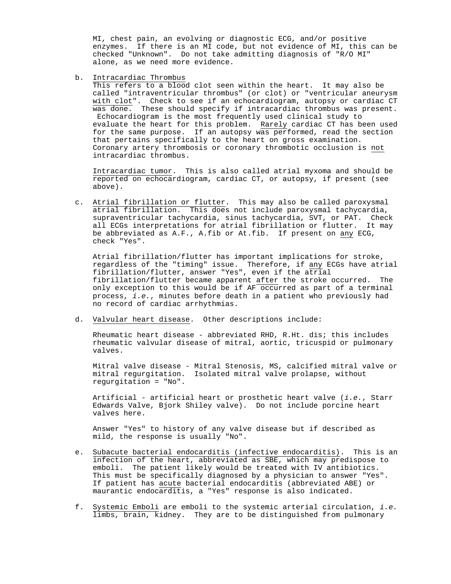MI, chest pain, an evolving or diagnostic ECG, and/or positive enzymes. If there is an MI code, but not evidence of MI, this can be checked "Unknown". Do not take admitting diagnosis of "R/O MI" alone, as we need more evidence.

b. Intracardiac Thrombus

This refers to a blood clot seen within the heart. It may also be called "intraventricular thrombus" (or clot) or "ventricular aneurysm with clot". Check to see if an echocardiogram, autopsy or cardiac CT was done. These should specify if intracardiac thrombus was present. Echocardiogram is the most frequently used clinical study to evaluate the heart for this problem. Rarely cardiac CT has been used for the same purpose. If an autopsy was performed, read the section that pertains specifically to the heart on gross examination. Coronary artery thrombosis or coronary thrombotic occlusion is not intracardiac thrombus.

Intracardiac tumor. This is also called atrial myxoma and should be reported on echocardiogram, cardiac CT, or autopsy, if present (see above).

c. Atrial fibrillation or flutter. This may also be called paroxysmal atrial fibrillation. This does not include paroxysmal tachycardia, supraventricular tachycardia, sinus tachycardia, SVT, or PAT. Check all ECGs interpretations for atrial fibrillation or flutter. It may be abbreviated as A.F., A.fib or At.fib. If present on any ECG, check "Yes".

Atrial fibrillation/flutter has important implications for stroke, regardless of the "timing" issue. Therefore, if <u>any</u> ECGs have atrial fibrillation/flutter, answer "Yes", even if the atrial fibrillation/flutter became apparent after the stroke occurred. The only exception to this would be if AF occurred as part of a terminal process, *i.e.*, minutes before death in a patient who previously had no record of cardiac arrhythmias.

d. Valvular heart disease. Other descriptions include:

Rheumatic heart disease - abbreviated RHD, R.Ht. dis; this includes rheumatic valvular disease of mitral, aortic, tricuspid or pulmonary valves.

Mitral valve disease - Mitral Stenosis, MS, calcified mitral valve or mitral regurgitation. Isolated mitral valve prolapse, without regurgitation = "No".

Artificial - artificial heart or prosthetic heart valve (*i.e.*, Starr Edwards Valve, Bjork Shiley valve). Do not include porcine heart valves here.

Answer "Yes" to history of any valve disease but if described as mild, the response is usually "No".

- e. Subacute bacterial endocarditis (infective endocarditis). This is an infection of the heart, abbreviated as SBE, which may predispose to emboli. The patient likely would be treated with IV antibiotics. This must be specifically diagnosed by a physician to answer "Yes". If patient has acute bacterial endocarditis (abbreviated ABE) or maurantic endocarditis, a "Yes" response is also indicated.
- f. Systemic Emboli are emboli to the systemic arterial circulation, *i.e.* limbs, brain, kidney. They are to be distinguished from pulmonary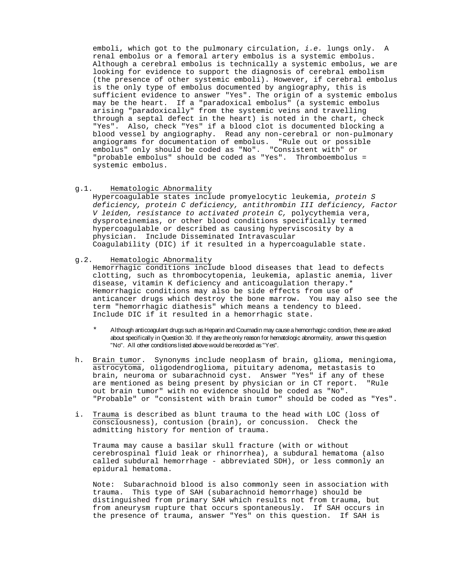emboli, which got to the pulmonary circulation, *i.e.* lungs only. A renal embolus or a femoral artery embolus is a systemic embolus. Although a cerebral embolus is technically a systemic embolus, we are looking for evidence to support the diagnosis of cerebral embolism (the presence of other systemic emboli). However, if cerebral embolus is the only type of embolus documented by angiography, this is sufficient evidence to answer "Yes". The origin of a systemic embolus may be the heart. If a "paradoxical embolus" (a systemic embolus arising "paradoxically" from the systemic veins and travelling through a septal defect in the heart) is noted in the chart, check "Yes". Also, check "Yes" if a blood clot is documented blocking a blood vessel by angiography. Read any non-cerebral or non-pulmonary angiograms for documentation of embolus. "Rule out or possible embolus" only should be coded as "No". "Consistent with" or "probable embolus" should be coded as "Yes". Thromboembolus = systemic embolus.

g.1. Hematologic Abnormality

Hypercoagulable states include promyelocytic leukemia, *protein S deficiency, protein C deficiency, antithrombin III deficiency, Factor V leiden, resistance to activated protein C,* polycythemia vera, dysproteinemias, or other blood conditions specifically termed hypercoagulable or described as causing hyperviscosity by a physician. Include Disseminated Intravascular Coagulability (DIC) if it resulted in a hypercoagulable state.

g.2. Hematologic Abnormality

Hemorrhagic conditions include blood diseases that lead to defects clotting, such as thrombocytopenia, leukemia, aplastic anemia, liver disease, vitamin K deficiency and anticoagulation therapy.\* Hemorrhagic conditions may also be side effects from use of anticancer drugs which destroy the bone marrow. You may also see the term "hemorrhagic diathesis" which means a tendency to bleed. Include DIC if it resulted in a hemorrhagic state.

\* Although anticoagulant drugs such as Heparin and Coumadin may cause a hemorrhagic condition, these are asked about specifically in Question 30. If they are the only reason for hematologic abnormality, answer this question "No". All other conditions listed above would be recorded as "Yes".

- h. Brain tumor. Synonyms include neoplasm of brain, glioma, meningioma, astrocytoma, oligodendroglioma, pituitary adenoma, metastasis to brain, neuroma or subarachnoid cyst. Answer "Yes" if any of these are mentioned as being present by physician or in CT report. "Rule out brain tumor" with no evidence should be coded as "No". "Probable" or "consistent with brain tumor" should be coded as "Yes".
- i. Trauma is described as blunt trauma to the head with LOC (loss of consciousness), contusion (brain), or concussion. Check the admitting history for mention of trauma.

Trauma may cause a basilar skull fracture (with or without cerebrospinal fluid leak or rhinorrhea), a subdural hematoma (also called subdural hemorrhage - abbreviated SDH), or less commonly an epidural hematoma.

Note: Subarachnoid blood is also commonly seen in association with trauma. This type of SAH (subarachnoid hemorrhage) should be distinguished from primary SAH which results not from trauma, but from aneurysm rupture that occurs spontaneously. If SAH occurs in the presence of trauma, answer "Yes" on this question. If SAH is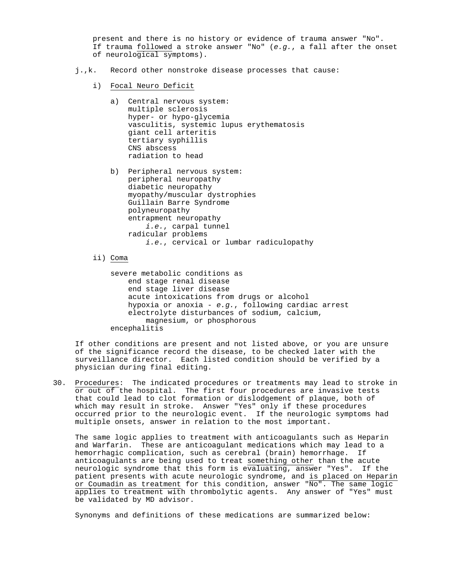present and there is no history or evidence of trauma answer "No". If trauma followed a stroke answer "No" (*e.g.*, a fall after the onset of neurological symptoms).

- j.,k. Record other nonstroke disease processes that cause:
	- i) Focal Neuro Deficit
		- a) Central nervous system: multiple sclerosis hyper- or hypo-glycemia vasculitis, systemic lupus erythematosis giant cell arteritis tertiary syphillis CNS abscess radiation to head
		- b) Peripheral nervous system: peripheral neuropathy diabetic neuropathy myopathy/muscular dystrophies Guillain Barre Syndrome polyneuropathy entrapment neuropathy *i.e.*, carpal tunnel radicular problems *i.e.*, cervical or lumbar radiculopathy

ii) Coma

severe metabolic conditions as end stage renal disease end stage liver disease acute intoxications from drugs or alcohol hypoxia or anoxia - *e.g.*, following cardiac arrest electrolyte disturbances of sodium, calcium, magnesium, or phosphorous encephalitis

If other conditions are present and not listed above, or you are unsure of the significance record the disease, to be checked later with the surveillance director. Each listed condition should be verified by a physician during final editing.

30. Procedures: The indicated procedures or treatments may lead to stroke in or out of the hospital. The first four procedures are invasive tests that could lead to clot formation or dislodgement of plaque, both of which may result in stroke. Answer "Yes" only if these procedures occurred prior to the neurologic event. If the neurologic symptoms had multiple onsets, answer in relation to the most important.

The same logic applies to treatment with anticoagulants such as Heparin and Warfarin. These are anticoagulant medications which may lead to a hemorrhagic complication, such as cerebral (brain) hemorrhage. If anticoagulants are being used to treat something other than the acute neurologic syndrome that this form is evaluating, answer "Yes". If the patient presents with acute neurologic syndrome, and is placed on Heparin or Coumadin as treatment for this condition, answer "No". The same logic applies to treatment with thrombolytic agents. Any answer of "Yes" must be validated by MD advisor.

Synonyms and definitions of these medications are summarized below: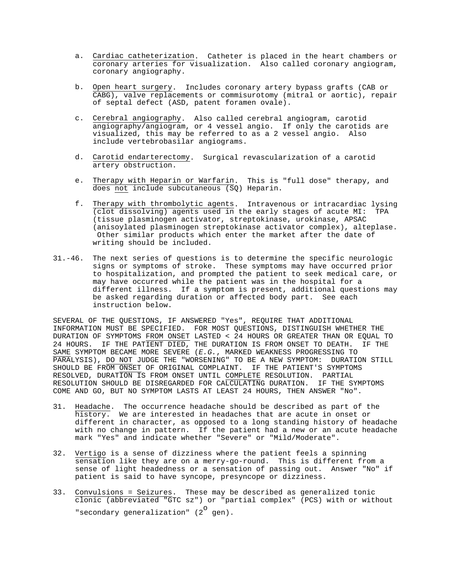- a. Cardiac catheterization. Catheter is placed in the heart chambers or coronary arteries for visualization. Also called coronary angiogram, coronary angiography.
- b. Open heart surgery. Includes coronary artery bypass grafts (CAB or CABG), valve replacements or commisurotomy (mitral or aortic), repair of septal defect (ASD, patent foramen ovale).
- c. Cerebral angiography. Also called cerebral angiogram, carotid angiography/angiogram, or 4 vessel angio. If only the carotids are visualized, this may be referred to as a 2 vessel angio. Also include vertebrobasilar angiograms.
- d. Carotid endarterectomy. Surgical revascularization of a carotid artery obstruction.
- e. Therapy with Heparin or Warfarin. This is "full dose" therapy, and does not include subcutaneous (SQ) Heparin.
- f. Therapy with thrombolytic agents. Intravenous or intracardiac lysing (clot dissolving) agents used in the early stages of acute MI: TPA (tissue plasminogen activator, streptokinase, urokinase, APSAC (anisoylated plasminogen streptokinase activator complex), alteplase. Other similar products which enter the market after the date of writing should be included.
- 31.-46. The next series of questions is to determine the specific neurologic signs or symptoms of stroke. These symptoms may have occurred prior to hospitalization, and prompted the patient to seek medical care, or may have occurred while the patient was in the hospital for a different illness. If a symptom is present, additional questions may be asked regarding duration or affected body part. See each instruction below.

SEVERAL OF THE QUESTIONS, IF ANSWERED "Yes", REQUIRE THAT ADDITIONAL INFORMATION MUST BE SPECIFIED. FOR MOST QUESTIONS, DISTINGUISH WHETHER THE DURATION OF SYMPTOMS FROM ONSET LASTED < 24 HOURS OR GREATER THAN OR EQUAL TO 24 HOURS. IF THE PATIENT DIED, THE DURATION IS FROM ONSET TO DEATH. IF THE SAME SYMPTOM BECAME MORE SEVERE (*E.G.*, MARKED WEAKNESS PROGRESSING TO PARALYSIS), DO NOT JUDGE THE "WORSENING" TO BE A NEW SYMPTOM: DURATION STILL SHOULD BE FROM ONSET OF ORIGINAL COMPLAINT. IF THE PATIENT'S SYMPTOMS RESOLVED, DURATION IS FROM ONSET UNTIL COMPLETE RESOLUTION. PARTIAL RESOLUTION SHOULD BE DISREGARDED FOR CALCULATING DURATION. IF THE SYMPTOMS COME AND GO, BUT NO SYMPTOM LASTS AT LEAST 24 HOURS, THEN ANSWER "No".

- 31. Headache. The occurrence headache should be described as part of the history. We are interested in headaches that are acute in onset or different in character, as opposed to a long standing history of headache with no change in pattern. If the patient had a new or an acute headache mark "Yes" and indicate whether "Severe" or "Mild/Moderate".
- 32. Vertigo is a sense of dizziness where the patient feels a spinning sensation like they are on a merry-go-round. This is different from a sense of light headedness or a sensation of passing out. Answer "No" if patient is said to have syncope, presyncope or dizziness.
- 33. Convulsions = Seizures. These may be described as generalized tonic clonic (abbreviated "GTC sz") or "partial complex" (PCS) with or without "secondary generalization"  $(2^{\circ}$  gen).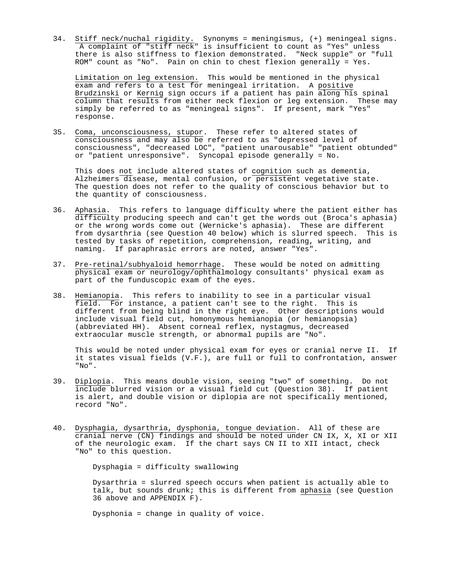34. Stiff neck/nuchal rigidity. Synonyms = meningismus, (+) meningeal signs. A complaint of "stiff neck" is insufficient to count as "Yes" unless there is also stiffness to flexion demonstrated. "Neck supple" or "full ROM" count as "No". Pain on chin to chest flexion generally = Yes.

Limitation on leg extension. This would be mentioned in the physical exam and refers to a test for meningeal irritation. A positive Brudzinski or Kernig sign occurs if a patient has pain along his spinal column that results from either neck flexion or leg extension. These may simply be referred to as "meningeal signs". If present, mark "Yes" response.

35. Coma, unconsciousness, stupor. These refer to altered states of consciousness and may also be referred to as "depressed level of consciousness", "decreased LOC", "patient unarousable" "patient obtunded" or "patient unresponsive". Syncopal episode generally = No.

This does not include altered states of cognition such as dementia, Alzheimers disease, mental confusion, or persistent vegetative state. The question does not refer to the quality of conscious behavior but to the quantity of consciousness.

- 36. Aphasia. This refers to language difficulty where the patient either has difficulty producing speech and can't get the words out (Broca's aphasia) or the wrong words come out (Wernicke's aphasia). These are different from dysarthria (see Question 40 below) which is slurred speech. This is tested by tasks of repetition, comprehension, reading, writing, and naming. If paraphrasic errors are noted, answer "Yes".
- 37. Pre-retinal/subhyaloid hemorrhage. These would be noted on admitting physical exam or neurology/ophthalmology consultants' physical exam as part of the funduscopic exam of the eyes.
- 38. Hemianopia. This refers to inability to see in a particular visual field. For instance, a patient can't see to the right. This is different from being blind in the right eye. Other descriptions would include visual field cut, homonymous hemianopia (or hemianopsia) (abbreviated HH). Absent corneal reflex, nystagmus, decreased extraocular muscle strength, or abnormal pupils are "No".

This would be noted under physical exam for eyes or cranial nerve II. If it states visual fields (V.F.), are full or full to confrontation, answer "No".

- 39. Diplopia. This means double vision, seeing "two" of something. Do not include blurred vision or a visual field cut (Question 38). If patient is alert, and double vision or diplopia are not specifically mentioned, record "No".
- 40. Dysphagia, dysarthria, dysphonia, tongue deviation. All of these are cranial nerve (CN) findings and should be noted under CN IX, X, XI or XII of the neurologic exam. If the chart says CN II to XII intact, check "No" to this question.

Dysphagia = difficulty swallowing

Dysarthria = slurred speech occurs when patient is actually able to talk, but sounds drunk; this is different from aphasia (see Question 36 above and APPENDIX F).

Dysphonia = change in quality of voice.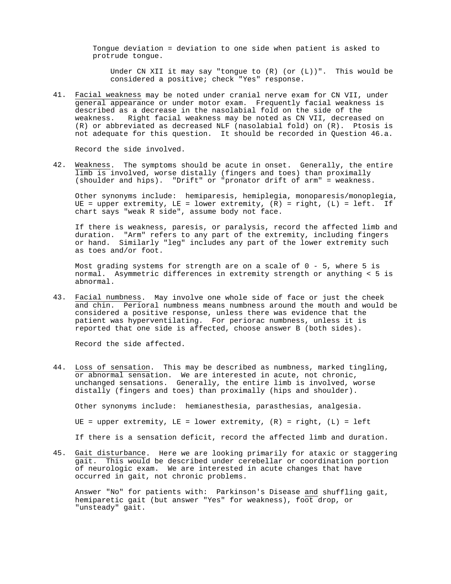Tongue deviation = deviation to one side when patient is asked to protrude tongue.

Under CN XII it may say "tonque to  $(R)$  (or  $(L)$ )". This would be considered a positive; check "Yes" response.

41. Facial weakness may be noted under cranial nerve exam for CN VII, under general appearance or under motor exam. Frequently facial weakness is described as a decrease in the nasolabial fold on the side of the weakness. Right facial weakness may be noted as CN VII, decreased on (R) or abbreviated as decreased NLF (nasolabial fold) on (R). Ptosis is not adequate for this question. It should be recorded in Question 46.a.

Record the side involved.

42. Weakness. The symptoms should be acute in onset. Generally, the entire limb is involved, worse distally (fingers and toes) than proximally (shoulder and hips). "Drift" or "pronator drift of arm" = weakness.

Other synonyms include: hemiparesis, hemiplegia, monoparesis/monoplegia, UE = upper extremity, LE = lower extremity,  $(R)$  = right,  $(L)$  = left. If chart says "weak R side", assume body not face.

If there is weakness, paresis, or paralysis, record the affected limb and duration. "Arm" refers to any part of the extremity, including fingers or hand. Similarly "leg" includes any part of the lower extremity such as toes and/or foot.

Most grading systems for strength are on a scale of  $0 - 5$ , where 5 is normal. Asymmetric differences in extremity strength or anything < 5 is abnormal.

43. Facial numbness. May involve one whole side of face or just the cheek and chin. Perioral numbness means numbness around the mouth and would be considered a positive response, unless there was evidence that the patient was hyperventilating. For periorac numbness, unless it is reported that one side is affected, choose answer B (both sides).

Record the side affected.

44. Loss of sensation. This may be described as numbness, marked tingling, or abnormal sensation. We are interested in acute, not chronic, unchanged sensations. Generally, the entire limb is involved, worse distally (fingers and toes) than proximally (hips and shoulder).

Other synonyms include: hemianesthesia, parasthesias, analgesia.

UE = upper extremity, LE = lower extremity,  $(R)$  = right,  $(L)$  = left

If there is a sensation deficit, record the affected limb and duration.

45. Gait disturbance. Here we are looking primarily for ataxic or staggering gait. This would be described under cerebellar or coordination portion of neurologic exam. We are interested in acute changes that have occurred in gait, not chronic problems.

Answer "No" for patients with: Parkinson's Disease and shuffling gait, hemiparetic gait (but answer "Yes" for weakness), foot drop, or "unsteady" gait.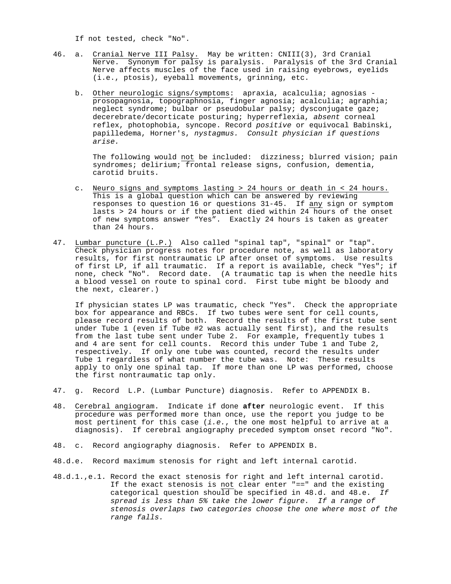If not tested, check "No".

- 46. a. Cranial Nerve III Palsy. May be written: CNIII(3), 3rd Cranial Nerve. Synonym for palsy is paralysis. Paralysis of the 3rd Cranial Nerve affects muscles of the face used in raising eyebrows, eyelids (i.e., ptosis), eyeball movements, grinning, etc.
	- b. Other neurologic signs/symptoms: apraxia, acalculia; agnosias prosopagnosia, topographnosia, finger agnosia; acalculia; agraphia; neglect syndrome; bulbar or pseudobular palsy; dysconjugate gaze; decerebrate/decorticate posturing; hyperreflexia, *absent* corneal reflex, photophobia, syncope. Record *positive* or equivocal Babinski, papilledema, Horner's, *nystagmus. Consult physician if questions arise.*

The following would not be included: dizziness; blurred vision; pain syndromes; delirium; frontal release signs, confusion, dementia, carotid bruits.

- c. Neuro signs and symptoms lasting > 24 hours or death in < 24 hours. This is a global question which can be answered by reviewing responses to question 16 or questions 31-45. If any sign or symptom lasts > 24 hours or if the patient died within 24 hours of the onset of new symptoms answer "Yes". Exactly 24 hours is taken as greater than 24 hours.
- 47. Lumbar puncture (L.P.) Also called "spinal tap", "spinal" or "tap". Check physician progress notes for procedure note, as well as laboratory results, for first nontraumatic LP after onset of symptoms. Use results of first LP, if all traumatic. If a report is available, check "Yes"; if none, check "No". Record date. (A traumatic tap is when the needle hits a blood vessel on route to spinal cord. First tube might be bloody and the next, clearer.)

If physician states LP was traumatic, check "Yes". Check the appropriate box for appearance and RBCs. If two tubes were sent for cell counts, please record results of both. Record the results of the first tube sent under Tube 1 (even if Tube #2 was actually sent first), and the results from the last tube sent under Tube 2. For example, frequently tubes 1 and 4 are sent for cell counts. Record this under Tube 1 and Tube 2, respectively. If only one tube was counted, record the results under Tube 1 regardless of what number the tube was. Note: These results apply to only one spinal tap. If more than one LP was performed, choose the first nontraumatic tap only.

- 47. g. Record L.P. (Lumbar Puncture) diagnosis. Refer to APPENDIX B.
- 48. Cerebral angiogram. Indicate if done **after** neurologic event. If this procedure was performed more than once, use the report you judge to be most pertinent for this case (*i.e.*, the one most helpful to arrive at a diagnosis). If cerebral angiography preceded symptom onset record "No".
- 48. c. Record angiography diagnosis. Refer to APPENDIX B.
- 48.d.e. Record maximum stenosis for right and left internal carotid.
- 48.d.1.,e.1. Record the exact stenosis for right and left internal carotid. If the exact stenosis is not clear enter "==" and the existing categorical question should be specified in 48.d. and 48.e. *If spread is less than 5% take the lower figure. If a range of stenosis overlaps two categories choose the one where most of the range falls.*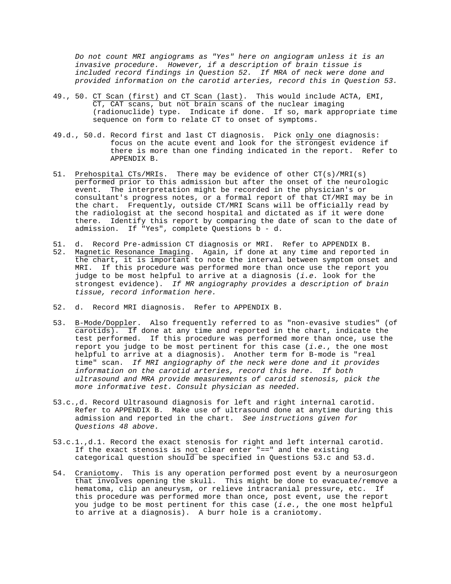*Do not count MRI angiograms as "Yes" here on angiogram unless it is an invasive procedure. However, if a description of brain tissue is included record findings in Question 52. If MRA of neck were done and provided information on the carotid arteries, record this in Question 53.*

- 49., 50. CT Scan (first) and CT Scan (last). This would include ACTA, EMI, CT, CAT scans, but not brain scans of the nuclear imaging (radionuclide) type. Indicate if done. If so, mark appropriate time sequence on form to relate CT to onset of symptoms.
- 49.d., 50.d. Record first and last CT diagnosis. Pick only one diagnosis: focus on the acute event and look for the strongest evidence if there is more than one finding indicated in the report. Refer to APPENDIX B.
- 51. Prehospital CTs/MRIs. There may be evidence of other CT(s)/MRI(s) performed prior to this admission but after the onset of the neurologic event. The interpretation might be recorded in the physician's or consultant's progress notes, or a formal report of that CT/MRI may be in the chart. Frequently, outside CT/MRI Scans will be officially read by the radiologist at the second hospital and dictated as if it were done there. Identify this report by comparing the date of scan to the date of admission. If "Yes", complete Questions b - d.
- 51. d. Record Pre-admission CT diagnosis or MRI. Refer to APPENDIX B. 52. Magnetic Resonance Imaging. Again, if done at any time and reported in the chart, it is important to note the interval between symptom onset and MRI. If this procedure was performed more than once use the report you judge to be most helpful to arrive at a diagnosis (*i.e.* look for the strongest evidence). *If MR angiography provides a description of brain tissue, record information here.*
- 52. d. Record MRI diagnosis. Refer to APPENDIX B.
- 53. B-Mode/Doppler. Also frequently referred to as "non-evasive studies" (of carotids). If done at any time and reported in the chart, indicate the test performed. If this procedure was performed more than once, use the report you judge to be most pertinent for this case (*i.e.*, the one most helpful to arrive at a diagnosis). Another term for B-mode is "real time" scan. *If MRI angiography of the neck were done and it provides information on the carotid arteries, record this here. If both ultrasound and MRA provide measurements of carotid stenosis, pick the more informative test. Consult physician as needed.*
- 53.c.,d. Record Ultrasound diagnosis for left and right internal carotid. Refer to APPENDIX B. Make use of ultrasound done at anytime during this admission and reported in the chart. *See instructions given for Questions 48 above.*
- 53.c.1.,d.1. Record the exact stenosis for right and left internal carotid. If the exact stenosis is not clear enter "==" and the existing categorical question should be specified in Questions 53.c and 53.d.
- 54. Craniotomy. This is any operation performed post event by a neurosurgeon that involves opening the skull. This might be done to evacuate/remove a hematoma, clip an aneurysm, or relieve intracranial pressure, etc. If this procedure was performed more than once, post event, use the report you judge to be most pertinent for this case (*i.e.*, the one most helpful to arrive at a diagnosis). A burr hole is a craniotomy.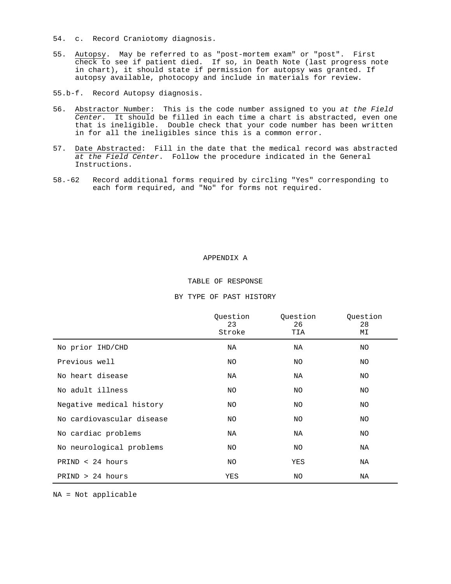54. c. Record Craniotomy diagnosis.

- 55. Autopsy. May be referred to as "post-mortem exam" or "post". First check to see if patient died. If so, in Death Note (last progress note in chart), it should state if permission for autopsy was granted. If autopsy available, photocopy and include in materials for review.
- 55.b-f. Record Autopsy diagnosis.
- 56. Abstractor Number: This is the code number assigned to you *at the Field Center*. It should be filled in each time a chart is abstracted, even one that is ineligible. Double check that your code number has been written in for all the ineligibles since this is a common error.
- 57. Date Abstracted: Fill in the date that the medical record was abstracted *at the Field Center*. Follow the procedure indicated in the General Instructions.
- 58.-62 Record additional forms required by circling "Yes" corresponding to each form required, and "No" for forms not required.

#### APPENDIX A

## TABLE OF RESPONSE

|                           | Ouestion<br>23<br>Stroke | Ouestion<br>26<br>TIA | Ouestion<br>28<br>MΙ |
|---------------------------|--------------------------|-----------------------|----------------------|
| No prior IHD/CHD          | ΝA                       | ΝA                    | NO                   |
| Previous well             | NO                       | NO                    | NO                   |
| No heart disease          | NA                       | ΝA                    | NO                   |
| No adult illness          | NO.                      | NO                    | NO                   |
| Negative medical history  | NO                       | NO                    | NO                   |
| No cardiovascular disease | NO                       | NO                    | NO                   |
| No cardiac problems       | ΝA                       | ΝA                    | NO                   |
| No neurological problems  | NO                       | NO                    | NA                   |
| $PRIND < 24$ hours        | NO.                      | YES                   | NA                   |
| PRIND > 24 hours          | YES                      | NO                    | ΝA                   |

BY TYPE OF PAST HISTORY

NA = Not applicable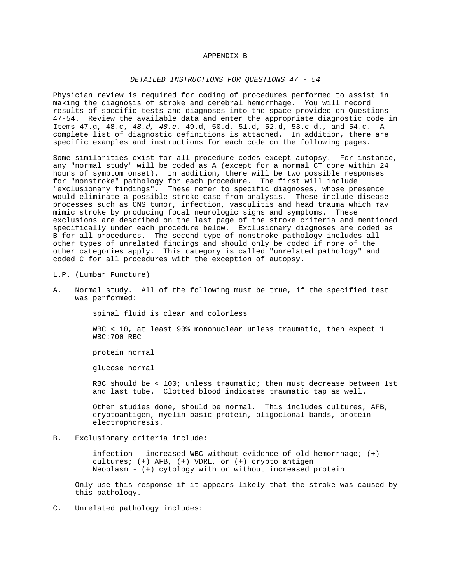#### APPENDIX B

#### *DETAILED INSTRUCTIONS FOR QUESTIONS 47 - 54*

Physician review is required for coding of procedures performed to assist in making the diagnosis of stroke and cerebral hemorrhage. You will record results of specific tests and diagnoses into the space provided on Questions 47-54. Review the available data and enter the appropriate diagnostic code in Items 47.g, 48.c, *48.d, 48.e*, 49.d, 50.d, 51.d, 52.d, 53.c-d., and 54.c. A complete list of diagnostic definitions is attached. In addition, there are specific examples and instructions for each code on the following pages.

Some similarities exist for all procedure codes except autopsy. For instance, any "normal study" will be coded as A (except for a normal CT done within 24 hours of symptom onset). In addition, there will be two possible responses for "nonstroke" pathology for each procedure. The first will include "exclusionary findings". These refer to specific diagnoses, whose presence would eliminate a possible stroke case from analysis. These include disease processes such as CNS tumor, infection, vasculitis and head trauma which may mimic stroke by producing focal neurologic signs and symptoms. These exclusions are described on the last page of the stroke criteria and mentioned specifically under each procedure below. Exclusionary diagnoses are coded as B for all procedures. The second type of nonstroke pathology includes all other types of unrelated findings and should only be coded if none of the other categories apply. This category is called "unrelated pathology" and coded C for all procedures with the exception of autopsy.

#### L.P. (Lumbar Puncture)

A. Normal study. All of the following must be true, if the specified test was performed:

spinal fluid is clear and colorless

WBC < 10, at least 90% mononuclear unless traumatic, then expect 1 WBC:700 RBC

protein normal

glucose normal

RBC should be < 100; unless traumatic; then must decrease between 1st and last tube. Clotted blood indicates traumatic tap as well.

Other studies done, should be normal. This includes cultures, AFB, cryptoantigen, myelin basic protein, oligoclonal bands, protein electrophoresis.

## B. Exclusionary criteria include:

infection - increased WBC without evidence of old hemorrhage; (+) cultures; (+) AFB, (+) VDRL, or (+) crypto antigen Neoplasm - (+) cytology with or without increased protein

Only use this response if it appears likely that the stroke was caused by this pathology.

C. Unrelated pathology includes: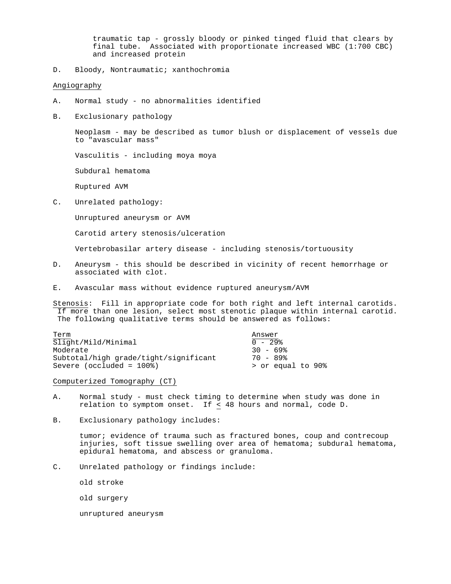traumatic tap - grossly bloody or pinked tinged fluid that clears by final tube. Associated with proportionate increased WBC (1:700 CBC) and increased protein

D. Bloody, Nontraumatic; xanthochromia

## Angiography

- A. Normal study no abnormalities identified
- B. Exclusionary pathology

Neoplasm - may be described as tumor blush or displacement of vessels due to "avascular mass"

Vasculitis - including moya moya

Subdural hematoma

Ruptured AVM

C. Unrelated pathology:

Unruptured aneurysm or AVM

Carotid artery stenosis/ulceration

Vertebrobasilar artery disease - including stenosis/tortuousity

- D. Aneurysm this should be described in vicinity of recent hemorrhage or associated with clot.
- E. Avascular mass without evidence ruptured aneurysm/AVM

Stenosis: Fill in appropriate code for both right and left internal carotids. If more than one lesion, select most stenotic plaque within internal carotid. The following qualitative terms should be answered as follows:

| Term                                  | Answer            |
|---------------------------------------|-------------------|
| Slight/Mild/Minimal                   | $0 - 29$          |
| Moderate                              | $30 - 69$         |
| Subtotal/high grade/tight/significant | 70 - 89%          |
| Severe (occluded = $100\$ )           | > or equal to 90% |

Computerized Tomography (CT)

- A. Normal study must check timing to determine when study was done in relation to symptom onset. If < 48 hours and normal, code D.
- B. Exclusionary pathology includes:

tumor; evidence of trauma such as fractured bones, coup and contrecoup injuries, soft tissue swelling over area of hematoma; subdural hematoma, epidural hematoma, and abscess or granuloma.

C. Unrelated pathology or findings include:

old stroke

old surgery

unruptured aneurysm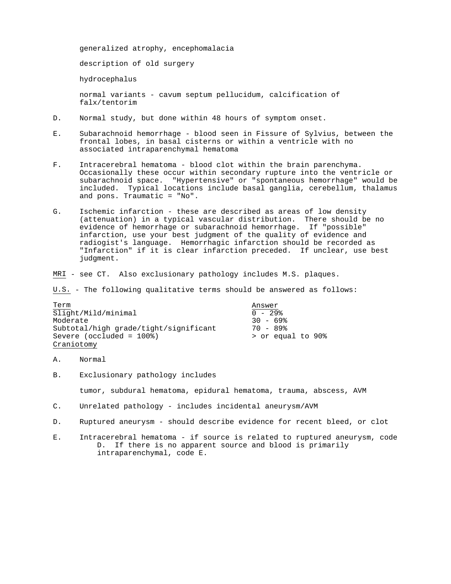generalized atrophy, encephomalacia description of old surgery hydrocephalus normal variants - cavum septum pellucidum, calcification of falx/tentorim

- D. Normal study, but done within 48 hours of symptom onset.
- E. Subarachnoid hemorrhage blood seen in Fissure of Sylvius, between the frontal lobes, in basal cisterns or within a ventricle with no associated intraparenchymal hematoma
- F. Intracerebral hematoma blood clot within the brain parenchyma. Occasionally these occur within secondary rupture into the ventricle or subarachnoid space. "Hypertensive" or "spontaneous hemorrhage" would be included. Typical locations include basal ganglia, cerebellum, thalamus and pons. Traumatic = "No".
- G. Ischemic infarction these are described as areas of low density (attenuation) in a typical vascular distribution. There should be no evidence of hemorrhage or subarachnoid hemorrhage. If "possible" infarction, use your best judgment of the quality of evidence and radiogist's language. Hemorrhagic infarction should be recorded as "Infarction" if it is clear infarction preceded. If unclear, use best judgment.
- MRI see CT. Also exclusionary pathology includes M.S. plaques.

U.S. - The following qualitative terms should be answered as follows:

| Term                                  | Answer            |
|---------------------------------------|-------------------|
| Slight/Mild/minimal                   | $0 - 29$          |
| Moderate                              | $30 - 69$         |
| Subtotal/high grade/tight/significant | $70 - 89$         |
| Severe (occluded = $100\$ )           | > or equal to 90% |
| Craniotomy                            |                   |

- A. Normal
- B. Exclusionary pathology includes

tumor, subdural hematoma, epidural hematoma, trauma, abscess, AVM

- C. Unrelated pathology includes incidental aneurysm/AVM
- D. Ruptured aneurysm should describe evidence for recent bleed, or clot
- E. Intracerebral hematoma if source is related to ruptured aneurysm, code D. If there is no apparent source and blood is primarily intraparenchymal, code E.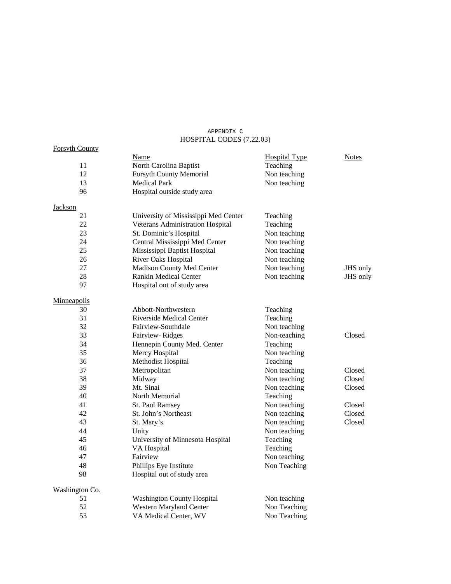# APPENDIX C HOSPITAL CODES (7.22.03)

| <b>Forsyth County</b> |                                      |                      |              |
|-----------------------|--------------------------------------|----------------------|--------------|
|                       | Name                                 | <b>Hospital Type</b> | <b>Notes</b> |
| 11                    | North Carolina Baptist               | Teaching             |              |
| 12                    | Forsyth County Memorial              | Non teaching         |              |
| 13                    | <b>Medical Park</b>                  | Non teaching         |              |
| 96                    | Hospital outside study area          |                      |              |
| <b>Jackson</b>        |                                      |                      |              |
| 21                    | University of Mississippi Med Center | Teaching             |              |
| 22                    | Veterans Administration Hospital     | Teaching             |              |
| 23                    | St. Dominic's Hospital               | Non teaching         |              |
| 24                    | Central Mississippi Med Center       | Non teaching         |              |
| 25                    | Mississippi Baptist Hospital         | Non teaching         |              |
| 26                    | River Oaks Hospital                  | Non teaching         |              |
| 27                    | Madison County Med Center            | Non teaching         | JHS only     |
| 28                    | <b>Rankin Medical Center</b>         | Non teaching         | JHS only     |
| 97                    | Hospital out of study area           |                      |              |
| Minneapolis           |                                      |                      |              |
| 30                    | Abbott-Northwestern                  | Teaching             |              |
| 31                    | Riverside Medical Center             | Teaching             |              |
| 32                    | Fairview-Southdale                   | Non teaching         |              |
| 33                    | Fairview-Ridges                      | Non-teaching         | Closed       |
| 34                    | Hennepin County Med. Center          | Teaching             |              |
| 35                    | Mercy Hospital                       | Non teaching         |              |
| 36                    | Methodist Hospital                   | Teaching             |              |
| 37                    | Metropolitan                         | Non teaching         | Closed       |
| 38                    | Midway                               | Non teaching         | Closed       |
| 39<br>Mt. Sinai       |                                      | Non teaching         | Closed       |
| 40                    | North Memorial                       | Teaching             |              |
| 41                    | St. Paul Ramsey                      | Non teaching         | Closed       |
| 42                    | St. John's Northeast                 | Non teaching         | Closed       |
| 43                    | St. Mary's                           | Non teaching         | Closed       |
| 44                    | Unity                                | Non teaching         |              |
| 45                    | University of Minnesota Hospital     | Teaching             |              |
| 46                    | VA Hospital                          | Teaching             |              |
| 47                    | Fairview                             | Non teaching         |              |
| 48                    | Phillips Eye Institute               | Non Teaching         |              |
| 98                    | Hospital out of study area           |                      |              |
| Washington Co.        |                                      |                      |              |
| 51                    | <b>Washington County Hospital</b>    | Non teaching         |              |
| 52                    | Western Maryland Center              | Non Teaching         |              |
| 53                    | VA Medical Center, WV                | Non Teaching         |              |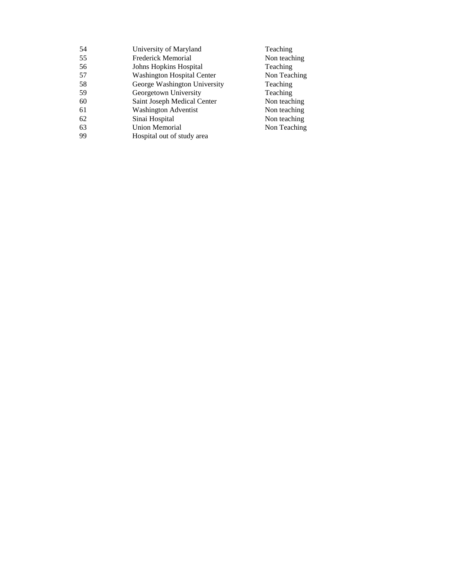| 54 | University of Maryland       | Teaching     |
|----|------------------------------|--------------|
| 55 | Frederick Memorial           | Non teaching |
| 56 | Johns Hopkins Hospital       | Teaching     |
| 57 | Washington Hospital Center   | Non Teaching |
| 58 | George Washington University | Teaching     |
| 59 | Georgetown University        | Teaching     |
| 60 | Saint Joseph Medical Center  | Non teaching |
| 61 | <b>Washington Adventist</b>  | Non teaching |
| 62 | Sinai Hospital               | Non teaching |
| 63 | <b>Union Memorial</b>        | Non Teaching |
| 99 | Hospital out of study area   |              |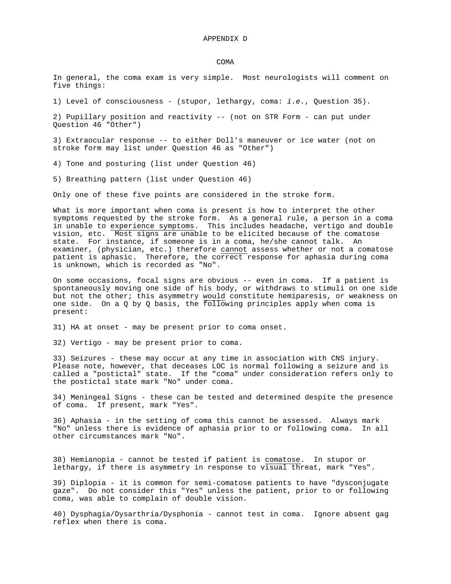#### COMA

In general, the coma exam is very simple. Most neurologists will comment on five things:

1) Level of consciousness - (stupor, lethargy, coma: *i.e.*, Question 35).

2) Pupillary position and reactivity -- (not on STR Form - can put under Question 46 "Other")

3) Extraocular response -- to either Doll's maneuver or ice water (not on stroke form may list under Question 46 as "Other")

4) Tone and posturing (list under Question 46)

5) Breathing pattern (list under Question 46)

Only one of these five points are considered in the stroke form.

What is more important when coma is present is how to interpret the other symptoms requested by the stroke form. As a general rule, a person in a coma in unable to experience symptoms. This includes headache, vertigo and double vision, etc. Most signs are unable to be elicited because of the comatose state. For instance, if someone is in a coma, he/she cannot talk. An examiner, (physician, etc.) therefore cannot assess whether or not a comatose patient is aphasic. Therefore, the correct response for aphasia during coma is unknown, which is recorded as "No".

On some occasions, focal signs are obvious -- even in coma. If a patient is spontaneously moving one side of his body, or withdraws to stimuli on one side but not the other; this asymmetry would constitute hemiparesis, or weakness on one side. On a Q by Q basis, the following principles apply when coma is present:

31) HA at onset - may be present prior to coma onset.

32) Vertigo - may be present prior to coma.

33) Seizures - these may occur at any time in association with CNS injury. Please note, however, that deceases LOC is normal following a seizure and is called a "postictal" state. If the "coma" under consideration refers only to the postictal state mark "No" under coma.

34) Meningeal Signs - these can be tested and determined despite the presence of coma. If present, mark "Yes".

36) Aphasia - in the setting of coma this cannot be assessed. Always mark "No" unless there is evidence of aphasia prior to or following coma. In all other circumstances mark "No".

38) Hemianopia - cannot be tested if patient is comatose. In stupor or lethargy, if there is asymmetry in response to visual threat, mark "Yes".

39) Diplopia - it is common for semi-comatose patients to have "dysconjugate gaze". Do not consider this "Yes" unless the patient, prior to or following coma, was able to complain of double vision.

40) Dysphagia/Dysarthria/Dysphonia - cannot test in coma. Ignore absent gag reflex when there is coma.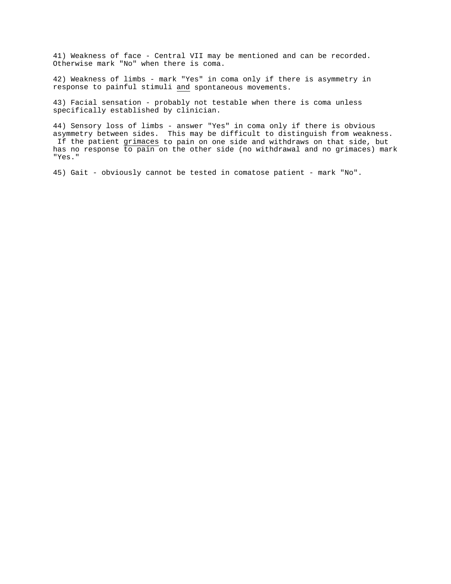41) Weakness of face - Central VII may be mentioned and can be recorded. Otherwise mark "No" when there is coma.

42) Weakness of limbs - mark "Yes" in coma only if there is asymmetry in response to painful stimuli and spontaneous movements.

43) Facial sensation - probably not testable when there is coma unless specifically established by clinician.

44) Sensory loss of limbs - answer "Yes" in coma only if there is obvious asymmetry between sides. This may be difficult to distinguish from weakness. If the patient grimaces to pain on one side and withdraws on that side, but has no response to pain on the other side (no withdrawal and no grimaces) mark "Yes."

45) Gait - obviously cannot be tested in comatose patient - mark "No".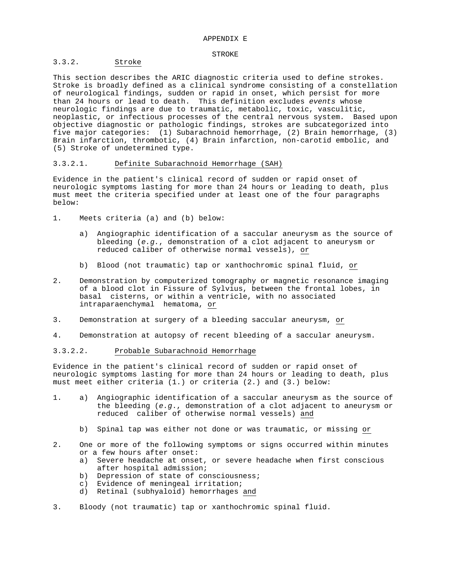#### STROKE

## 3.3.2. Stroke

This section describes the ARIC diagnostic criteria used to define strokes. Stroke is broadly defined as a clinical syndrome consisting of a constellation of neurological findings, sudden or rapid in onset, which persist for more than 24 hours or lead to death. This definition excludes *events* whose neurologic findings are due to traumatic, metabolic, toxic, vasculitic, neoplastic, or infectious processes of the central nervous system. Based upon objective diagnostic or pathologic findings, strokes are subcategorized into five major categories: (1) Subarachnoid hemorrhage, (2) Brain hemorrhage, (3) Brain infarction, thrombotic, (4) Brain infarction, non-carotid embolic, and (5) Stroke of undetermined type.

## 3.3.2.1. Definite Subarachnoid Hemorrhage (SAH)

Evidence in the patient's clinical record of sudden or rapid onset of neurologic symptoms lasting for more than 24 hours or leading to death, plus must meet the criteria specified under at least one of the four paragraphs below:

- 1. Meets criteria (a) and (b) below:
	- a) Angiographic identification of a saccular aneurysm as the source of bleeding (*e.g.*, demonstration of a clot adjacent to aneurysm or reduced caliber of otherwise normal vessels), or
	- b) Blood (not traumatic) tap or xanthochromic spinal fluid, or
- 2. Demonstration by computerized tomography or magnetic resonance imaging of a blood clot in Fissure of Sylvius, between the frontal lobes, in basal cisterns, or within a ventricle, with no associated intraparaenchymal hematoma, or
- 3. Demonstration at surgery of a bleeding saccular aneurysm, or
- 4. Demonstration at autopsy of recent bleeding of a saccular aneurysm.

#### 3.3.2.2. Probable Subarachnoid Hemorrhage

Evidence in the patient's clinical record of sudden or rapid onset of neurologic symptoms lasting for more than 24 hours or leading to death, plus must meet either criteria (1.) or criteria (2.) and (3.) below:

- 1. a) Angiographic identification of a saccular aneurysm as the source of the bleeding (*e.g*., demonstration of a clot adjacent to aneurysm or reduced caliber of otherwise normal vessels) and
	- b) Spinal tap was either not done or was traumatic, or missing or
- 2. One or more of the following symptoms or signs occurred within minutes or a few hours after onset:
	- a) Severe headache at onset, or severe headache when first conscious after hospital admission;
	- b) Depression of state of consciousness;
	- c) Evidence of meningeal irritation;
	- d) Retinal (subhyaloid) hemorrhages and
- 3. Bloody (not traumatic) tap or xanthochromic spinal fluid.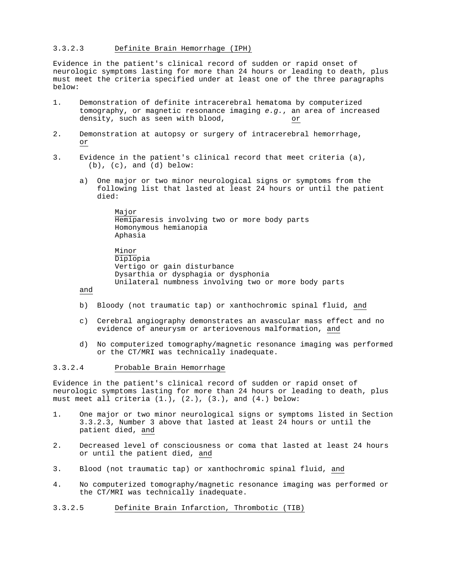## 3.3.2.3 Definite Brain Hemorrhage (IPH)

Evidence in the patient's clinical record of sudden or rapid onset of neurologic symptoms lasting for more than 24 hours or leading to death, plus must meet the criteria specified under at least one of the three paragraphs below:

- 1. Demonstration of definite intracerebral hematoma by computerized tomography, or magnetic resonance imaging *e.g.*, an area of increased density, such as seen with blood, density, such as seen with blood,
- 2. Demonstration at autopsy or surgery of intracerebral hemorrhage, or
- 3. Evidence in the patient's clinical record that meet criteria (a),  $(b)$ ,  $(c)$ , and  $(d)$  below:
	- a) One major or two minor neurological signs or symptoms from the following list that lasted at least 24 hours or until the patient died:

Major Hemiparesis involving two or more body parts Homonymous hemianopia Aphasia

Minor Diplopia Vertigo or gain disturbance Dysarthia or dysphagia or dysphonia Unilateral numbness involving two or more body parts

and

- b) Bloody (not traumatic tap) or xanthochromic spinal fluid, and
- c) Cerebral angiography demonstrates an avascular mass effect and no evidence of aneurysm or arteriovenous malformation, and
- d) No computerized tomography/magnetic resonance imaging was performed or the CT/MRI was technically inadequate.

## 3.3.2.4 Probable Brain Hemorrhage

Evidence in the patient's clinical record of sudden or rapid onset of neurologic symptoms lasting for more than 24 hours or leading to death, plus must meet all criteria (1.), (2.), (3.), and (4.) below:

- 1. One major or two minor neurological signs or symptoms listed in Section 3.3.2.3, Number 3 above that lasted at least 24 hours or until the patient died, and
- 2. Decreased level of consciousness or coma that lasted at least 24 hours or until the patient died, and
- 3. Blood (not traumatic tap) or xanthochromic spinal fluid, and
- 4. No computerized tomography/magnetic resonance imaging was performed or the CT/MRI was technically inadequate.
- 3.3.2.5 Definite Brain Infarction, Thrombotic (TIB)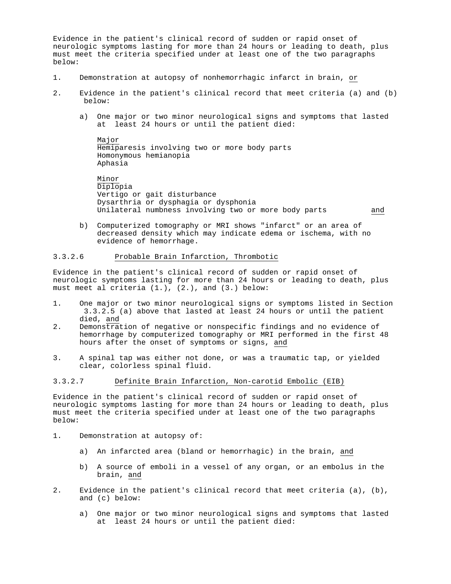Evidence in the patient's clinical record of sudden or rapid onset of neurologic symptoms lasting for more than 24 hours or leading to death, plus must meet the criteria specified under at least one of the two paragraphs below:

- 1. Demonstration at autopsy of nonhemorrhagic infarct in brain, or
- 2. Evidence in the patient's clinical record that meet criteria (a) and (b) below:
	- a) One major or two minor neurological signs and symptoms that lasted at least 24 hours or until the patient died:

Major Hemiparesis involving two or more body parts Homonymous hemianopia Aphasia

Minor Diplopia Vertigo or gait disturbance Dysarthria or dysphagia or dysphonia Unilateral numbness involving two or more body parts and

b) Computerized tomography or MRI shows "infarct" or an area of decreased density which may indicate edema or ischema, with no evidence of hemorrhage.

## 3.3.2.6 Probable Brain Infarction, Thrombotic

Evidence in the patient's clinical record of sudden or rapid onset of neurologic symptoms lasting for more than 24 hours or leading to death, plus must meet al criteria (1.), (2.), and (3.) below:

- 1. One major or two minor neurological signs or symptoms listed in Section 3.3.2.5 (a) above that lasted at least 24 hours or until the patient died, and
- 2. Demonstration of negative or nonspecific findings and no evidence of hemorrhage by computerized tomography or MRI performed in the first 48 hours after the onset of symptoms or signs, and
- 3. A spinal tap was either not done, or was a traumatic tap, or yielded clear, colorless spinal fluid.

## 3.3.2.7 Definite Brain Infarction, Non-carotid Embolic (EIB)

Evidence in the patient's clinical record of sudden or rapid onset of neurologic symptoms lasting for more than 24 hours or leading to death, plus must meet the criteria specified under at least one of the two paragraphs below:

- 1. Demonstration at autopsy of:
	- a) An infarcted area (bland or hemorrhagic) in the brain, and
	- b) A source of emboli in a vessel of any organ, or an embolus in the brain, and
- 2. Evidence in the patient's clinical record that meet criteria (a), (b), and (c) below:
	- a) One major or two minor neurological signs and symptoms that lasted at least 24 hours or until the patient died: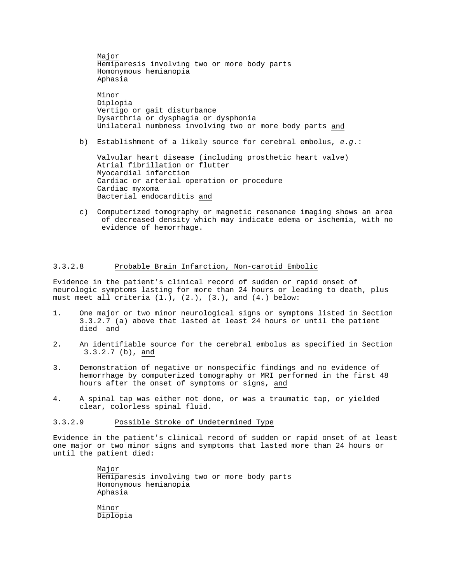Major Hemiparesis involving two or more body parts Homonymous hemianopia Aphasia Minor Diplopia Vertigo or gait disturbance Dysarthria or dysphagia or dysphonia Unilateral numbness involving two or more body parts and

b) Establishment of a likely source for cerebral embolus, *e.g*.:

Valvular heart disease (including prosthetic heart valve) Atrial fibrillation or flutter Myocardial infarction Cardiac or arterial operation or procedure Cardiac myxoma Bacterial endocarditis and

c) Computerized tomography or magnetic resonance imaging shows an area of decreased density which may indicate edema or ischemia, with no evidence of hemorrhage.

# 3.3.2.8 Probable Brain Infarction, Non-carotid Embolic

Evidence in the patient's clinical record of sudden or rapid onset of neurologic symptoms lasting for more than 24 hours or leading to death, plus must meet all criteria  $(1.), (2.), (3.),$  and  $(4.)$  below:

- 1. One major or two minor neurological signs or symptoms listed in Section 3.3.2.7 (a) above that lasted at least 24 hours or until the patient died and
- 2. An identifiable source for the cerebral embolus as specified in Section 3.3.2.7 (b), and
- 3. Demonstration of negative or nonspecific findings and no evidence of hemorrhage by computerized tomography or MRI performed in the first 48 hours after the onset of symptoms or signs, and
- 4. A spinal tap was either not done, or was a traumatic tap, or yielded clear, colorless spinal fluid.

# 3.3.2.9 Possible Stroke of Undetermined Type

Evidence in the patient's clinical record of sudden or rapid onset of at least one major or two minor signs and symptoms that lasted more than 24 hours or until the patient died:

> Major Hemiparesis involving two or more body parts Homonymous hemianopia Aphasia Minor Diplopia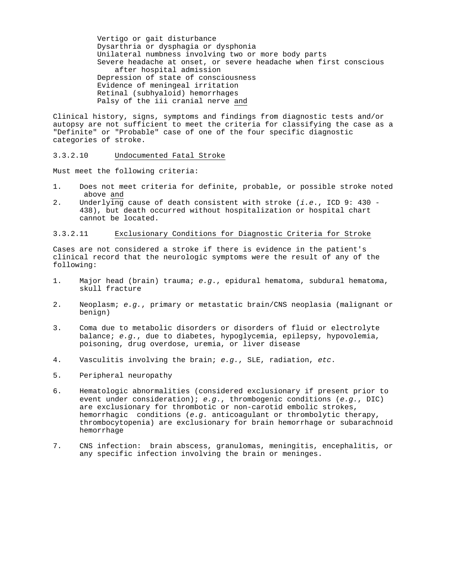Vertigo or gait disturbance Dysarthria or dysphagia or dysphonia Unilateral numbness involving two or more body parts Severe headache at onset, or severe headache when first conscious after hospital admission Depression of state of consciousness Evidence of meningeal irritation Retinal (subhyaloid) hemorrhages Palsy of the iii cranial nerve and

Clinical history, signs, symptoms and findings from diagnostic tests and/or autopsy are not sufficient to meet the criteria for classifying the case as a "Definite" or "Probable" case of one of the four specific diagnostic categories of stroke.

#### 3.3.2.10 Undocumented Fatal Stroke

Must meet the following criteria:

- 1. Does not meet criteria for definite, probable, or possible stroke noted above and
- 2. Underlying cause of death consistent with stroke (*i.e*., ICD 9: 430 438), but death occurred without hospitalization or hospital chart cannot be located.

#### 3.3.2.11 Exclusionary Conditions for Diagnostic Criteria for Stroke

Cases are not considered a stroke if there is evidence in the patient's clinical record that the neurologic symptoms were the result of any of the following:

- 1. Major head (brain) trauma; *e.g*., epidural hematoma, subdural hematoma, skull fracture
- 2. Neoplasm; *e.g.*, primary or metastatic brain/CNS neoplasia (malignant or benign)
- 3. Coma due to metabolic disorders or disorders of fluid or electrolyte balance; *e.g.*, due to diabetes, hypoglycemia, epilepsy, hypovolemia, poisoning, drug overdose, uremia, or liver disease
- 4. Vasculitis involving the brain; *e.g.*, SLE, radiation, *etc*.
- 5. Peripheral neuropathy
- 6. Hematologic abnormalities (considered exclusionary if present prior to event under consideration); *e.g*., thrombogenic conditions (*e.g.*, DIC) are exclusionary for thrombotic or non-carotid embolic strokes, hemorrhagic conditions (*e.g.* anticoagulant or thrombolytic therapy, thrombocytopenia) are exclusionary for brain hemorrhage or subarachnoid hemorrhage
- 7. CNS infection: brain abscess, granulomas, meningitis, encephalitis, or any specific infection involving the brain or meninges.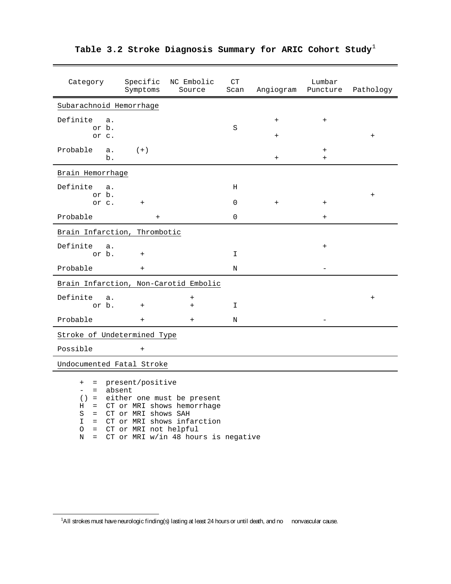| Category                                                                                                                                                                       | Specific<br>Symptoms    | NC Embolic<br>Source | CT<br>Scan  | Angiogram              | Lumbar<br>Puncture | Pathology                        |  |
|--------------------------------------------------------------------------------------------------------------------------------------------------------------------------------|-------------------------|----------------------|-------------|------------------------|--------------------|----------------------------------|--|
|                                                                                                                                                                                | Subarachnoid Hemorrhage |                      |             |                        |                    |                                  |  |
| Definite<br>a.<br>or b.                                                                                                                                                        |                         |                      | S           | $\ddot{}$              | $+$                |                                  |  |
| or c.<br>Probable<br>a.<br>b.                                                                                                                                                  | $(+)$                   |                      |             | $\ddot{}$<br>$\ddot{}$ | $\ddot{}$<br>$+$   | $\begin{array}{c} + \end{array}$ |  |
| Brain Hemorrhage                                                                                                                                                               |                         |                      |             |                        |                    |                                  |  |
| Definite<br>a.<br>or b.                                                                                                                                                        |                         |                      | H           |                        |                    |                                  |  |
| or c.                                                                                                                                                                          | $+$                     |                      | $\mathbf 0$ | $+$                    | $\ddot{}$          | $\ddot{}$                        |  |
| Probable                                                                                                                                                                       | $+$                     |                      | $\Omega$    |                        | $+$                |                                  |  |
| Brain Infarction, Thrombotic                                                                                                                                                   |                         |                      |             |                        |                    |                                  |  |
| Definite<br>a.<br>or b.                                                                                                                                                        | $^{+}$                  |                      | I.          |                        | $\ddot{}$          |                                  |  |
| Probable                                                                                                                                                                       | $^{+}$                  |                      | N           |                        |                    |                                  |  |
| Brain Infarction, Non-Carotid Embolic                                                                                                                                          |                         |                      |             |                        |                    |                                  |  |
| Definite<br>а.<br>or b.                                                                                                                                                        | $+$                     | $\ddot{}$<br>$+$     | I           |                        |                    | $\ddot{}$                        |  |
| Probable                                                                                                                                                                       | $+$                     | $+$                  | N           |                        |                    |                                  |  |
| Stroke of Undetermined Type                                                                                                                                                    |                         |                      |             |                        |                    |                                  |  |
| Possible                                                                                                                                                                       | $^{+}$                  |                      |             |                        |                    |                                  |  |
| Undocumented Fatal Stroke                                                                                                                                                      |                         |                      |             |                        |                    |                                  |  |
| present/positive<br>$^+$<br>$=$<br>absent<br>$=$<br>÷<br>either one must be present<br>( )<br>$=$<br>CT or MRI shows hemorrhage<br>Н<br>$=$<br>S<br>CT or MRI shows SAH<br>$=$ |                         |                      |             |                        |                    |                                  |  |

# **Table 3.2 Stroke Diagnosis Summary for ARIC Cohort Study**[1](#page-29-0)

I = CT or MRI shows infarction O = CT or MRI not helpful

Ĩ

N = CT or MRI w/in 48 hours is negative

<span id="page-29-0"></span><sup>&</sup>lt;sup>1</sup>All strokes must have neurologic finding(s) lasting at least 24 hours or until death, and no nonvascular cause.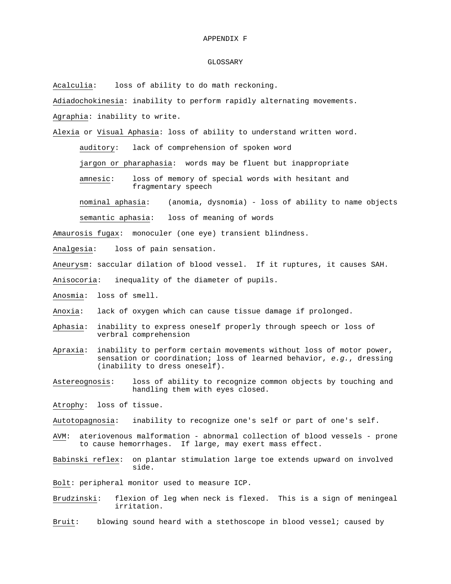#### APPENDIX F

#### GLOSSARY

Acalculia: loss of ability to do math reckoning.

Adiadochokinesia: inability to perform rapidly alternating movements. Agraphia: inability to write.

Alexia or Visual Aphasia: loss of ability to understand written word.

auditory: lack of comprehension of spoken word

jargon or pharaphasia: words may be fluent but inappropriate

amnesic: loss of memory of special words with hesitant and fragmentary speech

nominal aphasia: (anomia, dysnomia) - loss of ability to name objects

semantic aphasia: loss of meaning of words

Amaurosis fugax: monoculer (one eye) transient blindness.

Analgesia: loss of pain sensation.

Aneurysm: saccular dilation of blood vessel. If it ruptures, it causes SAH.

Anisocoria: inequality of the diameter of pupils.

- Anosmia: loss of smell.
- Anoxia: lack of oxygen which can cause tissue damage if prolonged.
- Aphasia: inability to express oneself properly through speech or loss of verbral comprehension
- Apraxia: inability to perform certain movements without loss of motor power, sensation or coordination; loss of learned behavior, *e.g.*, dressing (inability to dress oneself).
- Astereognosis: loss of ability to recognize common objects by touching and handling them with eyes closed.

Atrophy: loss of tissue.

Autotopagnosia: inability to recognize one's self or part of one's self.

- AVM: ateriovenous malformation abnormal collection of blood vessels prone to cause hemorrhages. If large, may exert mass effect.
- Babinski reflex: on plantar stimulation large toe extends upward on involved side.

Bolt: peripheral monitor used to measure ICP.

Brudzinski: flexion of leg when neck is flexed. This is a sign of meningeal irritation.

Bruit: blowing sound heard with a stethoscope in blood vessel; caused by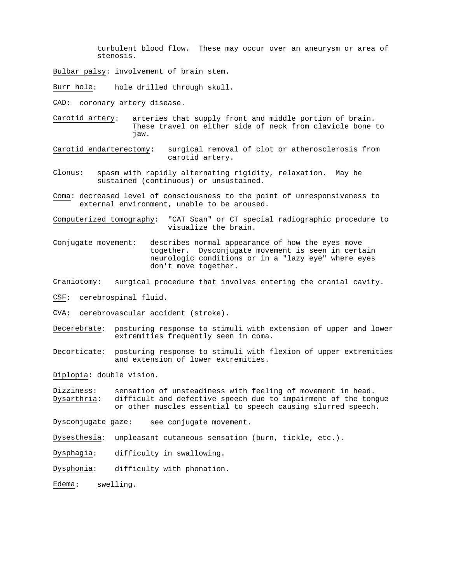turbulent blood flow. These may occur over an aneurysm or area of stenosis.

Bulbar palsy: involvement of brain stem.

Burr hole: hole drilled through skull.

CAD: coronary artery disease.

Carotid artery: arteries that supply front and middle portion of brain. These travel on either side of neck from clavicle bone to jaw.

Carotid endarterectomy: surgical removal of clot or atherosclerosis from carotid artery.

Clonus: spasm with rapidly alternating rigidity, relaxation. May be sustained (continuous) or unsustained.

Coma: decreased level of consciousness to the point of unresponsiveness to external environment, unable to be aroused.

Computerized tomography: "CAT Scan" or CT special radiographic procedure to visualize the brain.

Conjugate movement: describes normal appearance of how the eyes move together. Dysconjugate movement is seen in certain neurologic conditions or in a "lazy eye" where eyes don't move together.

Craniotomy: surgical procedure that involves entering the cranial cavity.

CSF: cerebrospinal fluid.

CVA: cerebrovascular accident (stroke).

- Decerebrate: posturing response to stimuli with extension of upper and lower extremities frequently seen in coma.
- Decorticate: posturing response to stimuli with flexion of upper extremities and extension of lower extremities.

Diplopia: double vision.

Dizziness: sensation of unsteadiness with feeling of movement in head.<br>Dysarthria: difficult and defective speech due to impairment of the ton difficult and defective speech due to impairment of the tongue or other muscles essential to speech causing slurred speech.

Dysconjugate gaze: see conjugate movement.

Dysesthesia: unpleasant cutaneous sensation (burn, tickle, etc.).

Dysphagia: difficulty in swallowing.

Dysphonia: difficulty with phonation.

Edema: swelling.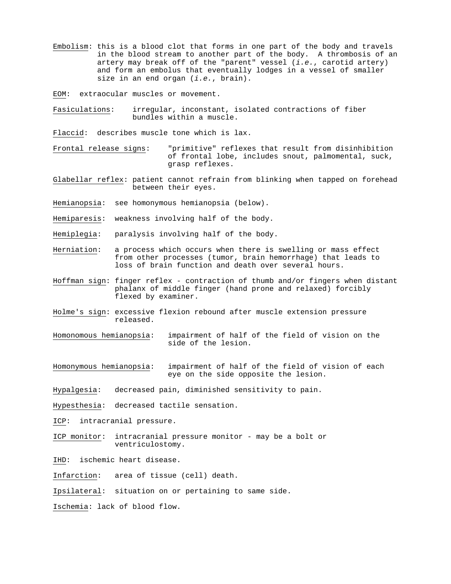Embolism: this is a blood clot that forms in one part of the body and travels in the blood stream to another part of the body. A thrombosis of an artery may break off of the "parent" vessel (*i.e.*, carotid artery) and form an embolus that eventually lodges in a vessel of smaller size in an end organ (*i.e.*, brain).

EOM: extraocular muscles or movement.

Fasiculations: irregular, inconstant, isolated contractions of fiber bundles within a muscle.

Flaccid: describes muscle tone which is lax.

Frontal release signs: "primitive" reflexes that result from disinhibition of frontal lobe, includes snout, palmomental, suck, grasp reflexes.

- Glabellar reflex: patient cannot refrain from blinking when tapped on forehead between their eyes.
- Hemianopsia: see homonymous hemianopsia (below).
- Hemiparesis: weakness involving half of the body.
- Hemiplegia: paralysis involving half of the body.
- Herniation: a process which occurs when there is swelling or mass effect from other processes (tumor, brain hemorrhage) that leads to loss of brain function and death over several hours.
- Hoffman sign: finger reflex contraction of thumb and/or fingers when distant phalanx of middle finger (hand prone and relaxed) forcibly flexed by examiner.
- Holme's sign: excessive flexion rebound after muscle extension pressure released.
- Homonomous hemianopsia: impairment of half of the field of vision on the side of the lesion.
- Homonymous hemianopsia: impairment of half of the field of vision of each eye on the side opposite the lesion.

Hypalgesia: decreased pain, diminished sensitivity to pain.

Hypesthesia: decreased tactile sensation.

ICP: intracranial pressure.

- ICP monitor: intracranial pressure monitor may be a bolt or ventriculostomy.
- IHD: ischemic heart disease.

Infarction: area of tissue (cell) death.

Ipsilateral: situation on or pertaining to same side.

Ischemia: lack of blood flow.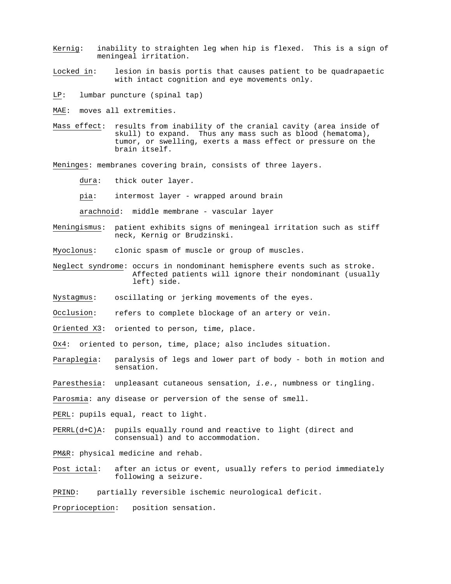- Kernig: inability to straighten leg when hip is flexed. This is a sign of meningeal irritation.
- Locked in: lesion in basis portis that causes patient to be quadrapaetic with intact cognition and eye movements only.
- LP: lumbar puncture (spinal tap)
- MAE: moves all extremities.
- Mass effect: results from inability of the cranial cavity (area inside of skull) to expand. Thus any mass such as blood (hematoma), tumor, or swelling, exerts a mass effect or pressure on the brain itself.
- Meninges: membranes covering brain, consists of three layers.
	- dura: thick outer layer.
	- pia: intermost layer wrapped around brain
	- arachnoid: middle membrane vascular layer
- Meningismus: patient exhibits signs of meningeal irritation such as stiff neck, Kernig or Brudzinski.
- Myoclonus: clonic spasm of muscle or group of muscles.
- Neglect syndrome: occurs in nondominant hemisphere events such as stroke. Affected patients will ignore their nondominant (usually left) side.
- Nystagmus: oscillating or jerking movements of the eyes.
- Occlusion: refers to complete blockage of an artery or vein.
- Oriented X3: oriented to person, time, place.
- Ox4: oriented to person, time, place; also includes situation.
- Paraplegia: paralysis of legs and lower part of body both in motion and sensation.
- Paresthesia: unpleasant cutaneous sensation, *i.e.*, numbness or tingling.
- Parosmia: any disease or perversion of the sense of smell.
- PERL: pupils equal, react to light.
- PERRL(d+C)A: pupils equally round and reactive to light (direct and consensual) and to accommodation.
- PM&R: physical medicine and rehab.
- Post ictal: after an ictus or event, usually refers to period immediately following a seizure.
- PRIND: partially reversible ischemic neurological deficit.

Proprioception: position sensation.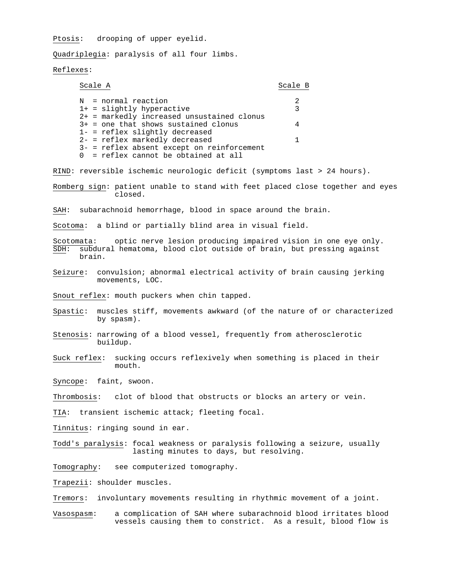Ptosis: drooping of upper eyelid.

Quadriplegia: paralysis of all four limbs.

## Reflexes:

| Scale A                                      | Scale B |
|----------------------------------------------|---------|
|                                              |         |
| N = normal reaction                          | 2       |
| $1+$ = slightly hyperactive                  |         |
| $2+$ = markedly increased unsustained clonus |         |
| $3+$ = one that shows sustained clonus       |         |
| $1-$ = reflex slightly decreased             |         |
| $2-$ = reflex markedly decreased             |         |
| $3-$ = reflex absent except on reinforcement |         |
| $0 =$ reflex cannot be obtained at all       |         |

RIND: reversible ischemic neurologic deficit (symptoms last > 24 hours).

Romberg sign: patient unable to stand with feet placed close together and eyes closed.

SAH: subarachnoid hemorrhage, blood in space around the brain.

Scotoma: a blind or partially blind area in visual field.

Scotomata: optic nerve lesion producing impaired vision in one eye only.<br>SDH: subdural hematoma, blood clot outside of brain, but pressing against subdural hematoma, blood clot outside of brain, but pressing against brain.

Seizure: convulsion; abnormal electrical activity of brain causing jerking movements, LOC.

Snout reflex: mouth puckers when chin tapped.

- Spastic: muscles stiff, movements awkward (of the nature of or characterized by spasm).
- Stenosis: narrowing of a blood vessel, frequently from atherosclerotic buildup.
- Suck reflex: sucking occurs reflexively when something is placed in their mouth.

Syncope: faint, swoon.

Thrombosis: clot of blood that obstructs or blocks an artery or vein.

TIA: transient ischemic attack; fleeting focal.

Tinnitus: ringing sound in ear.

Todd's paralysis: focal weakness or paralysis following a seizure, usually lasting minutes to days, but resolving.

Tomography: see computerized tomography.

Trapezii: shoulder muscles.

Tremors: involuntary movements resulting in rhythmic movement of a joint.

Vasospasm: a complication of SAH where subarachnoid blood irritates blood vessels causing them to constrict. As a result, blood flow is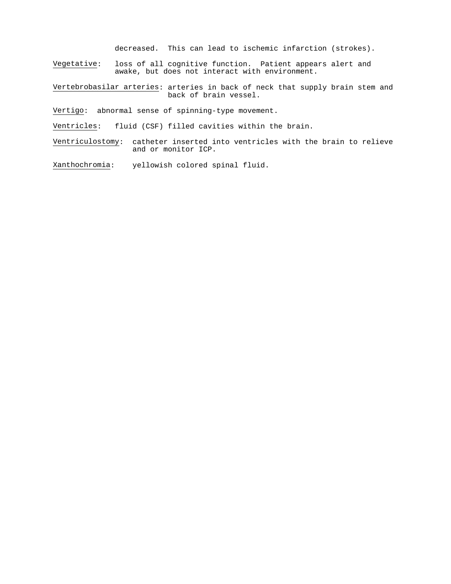decreased. This can lead to ischemic infarction (strokes).

Vegetative: loss of all cognitive function. Patient appears alert and awake, but does not interact with environment.

Vertebrobasilar arteries: arteries in back of neck that supply brain stem and back of brain vessel.

Vertigo: abnormal sense of spinning-type movement.

Ventricles: fluid (CSF) filled cavities within the brain.

Ventriculostomy: catheter inserted into ventricles with the brain to relieve and or monitor ICP.

Xanthochromia: yellowish colored spinal fluid.